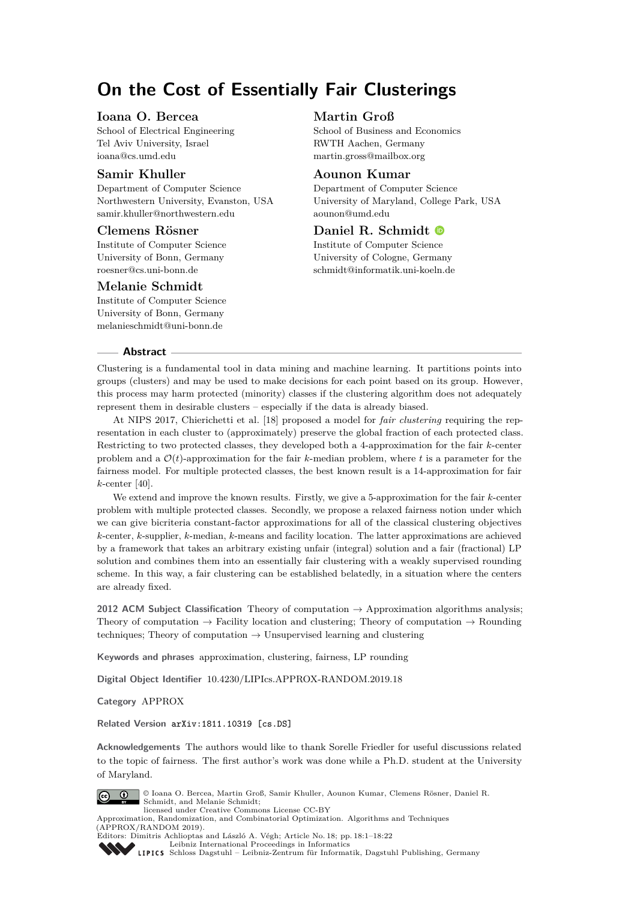# **On the Cost of Essentially Fair Clusterings**

## **Ioana O. Bercea**

School of Electrical Engineering Tel Aviv University, Israel [ioana@cs.umd.edu](mailto:ioana@cs.umd.edu)

## **Samir Khuller**

Department of Computer Science Northwestern University, Evanston, USA [samir.khuller@northwestern.edu](mailto:samir.khuller@northwestern.edu)

## **Clemens Rösner**

Institute of Computer Science University of Bonn, Germany [roesner@cs.uni-bonn.de](mailto:roesner@cs.uni-bonn.de)

## **Melanie Schmidt**

Institute of Computer Science University of Bonn, Germany [melanieschmidt@uni-bonn.de](mailto:melanieschmidt@uni-bonn.de)

## **Martin Groß**

School of Business and Economics RWTH Aachen, Germany [martin.gross@mailbox.org](mailto:martin.gross@mailbox.org)

## **Aounon Kumar**

Department of Computer Science University of Maryland, College Park, USA [aounon@umd.edu](mailto:aounon@umd.edu)

# **Daniel R. Schmidt**

Institute of Computer Science University of Cologne, Germany [schmidt@informatik.uni-koeln.de](mailto:schmidt@informatik.uni-koeln.de)

#### **Abstract**

Clustering is a fundamental tool in data mining and machine learning. It partitions points into groups (clusters) and may be used to make decisions for each point based on its group. However, this process may harm protected (minority) classes if the clustering algorithm does not adequately represent them in desirable clusters – especially if the data is already biased.

At NIPS 2017, Chierichetti et al. [\[18\]](#page-16-0) proposed a model for *fair clustering* requiring the representation in each cluster to (approximately) preserve the global fraction of each protected class. Restricting to two protected classes, they developed both a 4-approximation for the fair *k*-center problem and a  $\mathcal{O}(t)$ -approximation for the fair *k*-median problem, where *t* is a parameter for the fairness model. For multiple protected classes, the best known result is a 14-approximation for fair *k*-center [\[40\]](#page-17-0).

We extend and improve the known results. Firstly, we give a 5-approximation for the fair *k*-center problem with multiple protected classes. Secondly, we propose a relaxed fairness notion under which we can give bicriteria constant-factor approximations for all of the classical clustering objectives *k*-center, *k*-supplier, *k*-median, *k*-means and facility location. The latter approximations are achieved by a framework that takes an arbitrary existing unfair (integral) solution and a fair (fractional) LP solution and combines them into an essentially fair clustering with a weakly supervised rounding scheme. In this way, a fair clustering can be established belatedly, in a situation where the centers are already fixed.

**2012 ACM Subject Classification** Theory of computation → Approximation algorithms analysis; Theory of computation  $\rightarrow$  Facility location and clustering; Theory of computation  $\rightarrow$  Rounding techniques; Theory of computation  $\rightarrow$  Unsupervised learning and clustering

**Keywords and phrases** approximation, clustering, fairness, LP rounding

**Digital Object Identifier** [10.4230/LIPIcs.APPROX-RANDOM.2019.18](https://doi.org/10.4230/LIPIcs.APPROX-RANDOM.2019.18)

**Category** APPROX

**Related Version** [arXiv:1811.10319 \[cs.DS\]](https://arxiv.org/abs/1811.10319)

**Acknowledgements** The authors would like to thank Sorelle Friedler for useful discussions related to the topic of fairness. The first author's work was done while a Ph.D. student at the University of Maryland.



© Ioana O. Bercea, Martin Groß, Samir Khuller, Aounon Kumar, Clemens Rösner, Daniel R. Schmidt, and Melanie Schmidt; licensed under Creative Commons License CC-BY

Approximation, Randomization, and Combinatorial Optimization. Algorithms and Techniques  $(APPROX/RANDOM 2019)$ .



Editors: Dimitris Achlioptas and László A. Végh; Article No. 18; pp. 18:1–18[:22](#page-21-0) [Leibniz International Proceedings in Informatics](https://www.dagstuhl.de/lipics/) [Schloss Dagstuhl – Leibniz-Zentrum für Informatik, Dagstuhl Publishing, Germany](https://www.dagstuhl.de)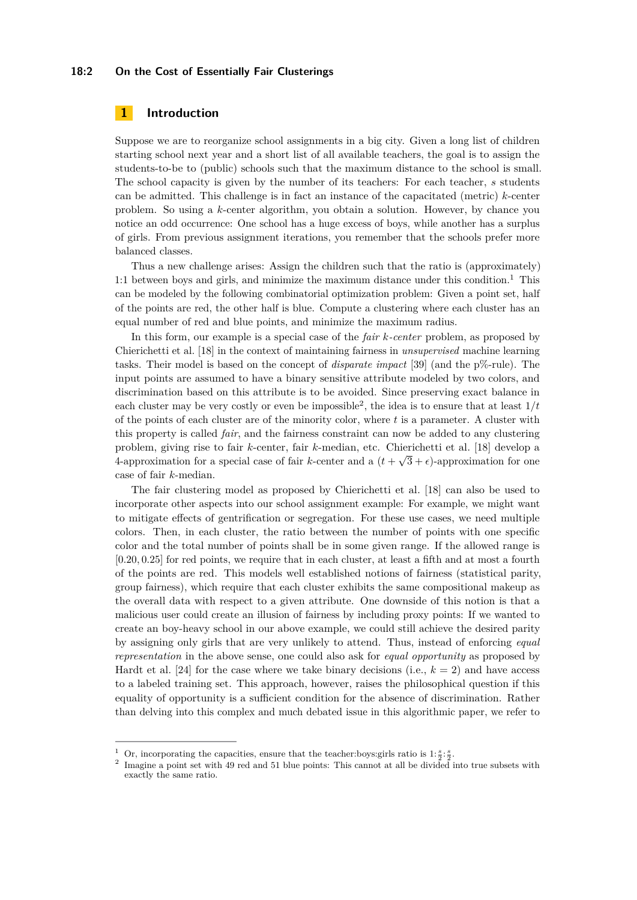#### **18:2 On the Cost of Essentially Fair Clusterings**

## **1 Introduction**

Suppose we are to reorganize school assignments in a big city. Given a long list of children starting school next year and a short list of all available teachers, the goal is to assign the students-to-be to (public) schools such that the maximum distance to the school is small. The school capacity is given by the number of its teachers: For each teacher, *s* students can be admitted. This challenge is in fact an instance of the capacitated (metric) *k*-center problem. So using a *k*-center algorithm, you obtain a solution. However, by chance you notice an odd occurrence: One school has a huge excess of boys, while another has a surplus of girls. From previous assignment iterations, you remember that the schools prefer more balanced classes.

Thus a new challenge arises: Assign the children such that the ratio is (approximately) [1](#page-1-0):1 between boys and girls, and minimize the maximum distance under this condition.<sup>1</sup> This can be modeled by the following combinatorial optimization problem: Given a point set, half of the points are red, the other half is blue. Compute a clustering where each cluster has an equal number of red and blue points, and minimize the maximum radius.

In this form, our example is a special case of the *fair k-center* problem, as proposed by Chierichetti et al. [\[18\]](#page-16-0) in the context of maintaining fairness in *unsupervised* machine learning tasks. Their model is based on the concept of *disparate impact* [\[39\]](#page-17-1) (and the p%-rule). The input points are assumed to have a binary sensitive attribute modeled by two colors, and discrimination based on this attribute is to be avoided. Since preserving exact balance in each cluster may be very costly or even be impossible<sup>[2](#page-1-1)</sup>, the idea is to ensure that at least  $1/t$ of the points of each cluster are of the minority color, where *t* is a parameter. A cluster with this property is called *fair*, and the fairness constraint can now be added to any clustering problem, giving rise to fair *k*-center, fair *k*-median, etc. Chierichetti et al. [\[18\]](#page-16-0) develop a 4-approximation for a special case of fair *k*-center and a  $(t + \sqrt{3} + \epsilon)$ -approximation for one case of fair *k*-median.

The fair clustering model as proposed by Chierichetti et al. [\[18\]](#page-16-0) can also be used to incorporate other aspects into our school assignment example: For example, we might want to mitigate effects of gentrification or segregation. For these use cases, we need multiple colors. Then, in each cluster, the ratio between the number of points with one specific color and the total number of points shall be in some given range. If the allowed range is [0*.*20*,* 0*.*25] for red points, we require that in each cluster, at least a fifth and at most a fourth of the points are red. This models well established notions of fairness (statistical parity, group fairness), which require that each cluster exhibits the same compositional makeup as the overall data with respect to a given attribute. One downside of this notion is that a malicious user could create an illusion of fairness by including proxy points: If we wanted to create an boy-heavy school in our above example, we could still achieve the desired parity by assigning only girls that are very unlikely to attend. Thus, instead of enforcing *equal representation* in the above sense, one could also ask for *equal opportunity* as proposed by Hardt et al. [\[24\]](#page-16-1) for the case where we take binary decisions (i.e.,  $k = 2$ ) and have access to a labeled training set. This approach, however, raises the philosophical question if this equality of opportunity is a sufficient condition for the absence of discrimination. Rather than delving into this complex and much debated issue in this algorithmic paper, we refer to

<span id="page-1-0"></span><sup>&</sup>lt;sup>1</sup> Or, incorporating the capacities, ensure that the teacher:boys:girls ratio is  $1:\frac{s}{2}:\frac{s}{2}$ .

<span id="page-1-1"></span><sup>&</sup>lt;sup>2</sup> Imagine a point set with 49 red and 51 blue points: This cannot at all be divided into true subsets with exactly the same ratio.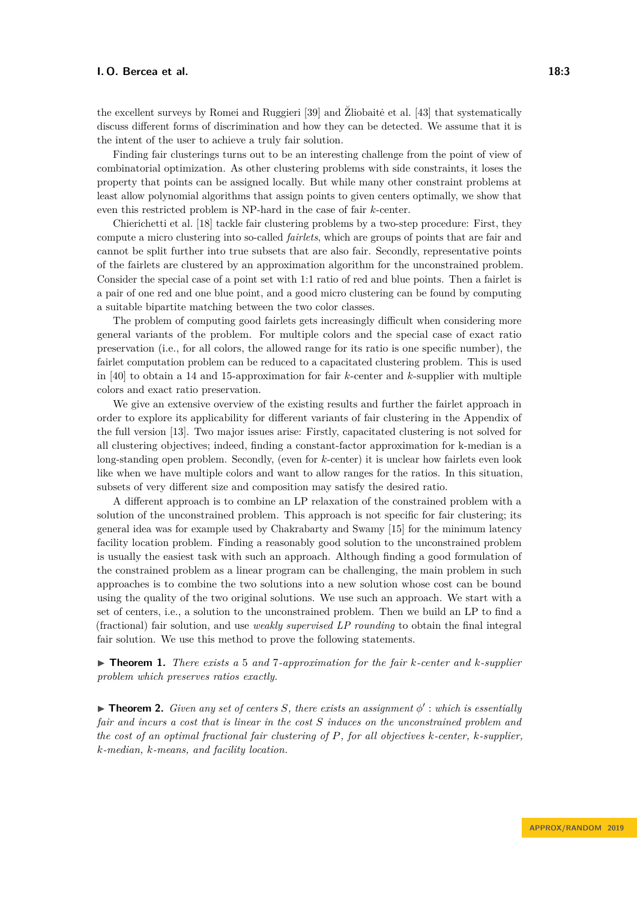the excellent surveys by Romei and Ruggieri [\[39\]](#page-17-1) and  $\ddot{Z}$ liobaitė et al. [[43\]](#page-17-2) that systematically discuss different forms of discrimination and how they can be detected. We assume that it is the intent of the user to achieve a truly fair solution.

Finding fair clusterings turns out to be an interesting challenge from the point of view of combinatorial optimization. As other clustering problems with side constraints, it loses the property that points can be assigned locally. But while many other constraint problems at least allow polynomial algorithms that assign points to given centers optimally, we show that even this restricted problem is NP-hard in the case of fair *k*-center.

Chierichetti et al. [\[18\]](#page-16-0) tackle fair clustering problems by a two-step procedure: First, they compute a micro clustering into so-called *fairlets*, which are groups of points that are fair and cannot be split further into true subsets that are also fair. Secondly, representative points of the fairlets are clustered by an approximation algorithm for the unconstrained problem. Consider the special case of a point set with 1:1 ratio of red and blue points. Then a fairlet is a pair of one red and one blue point, and a good micro clustering can be found by computing a suitable bipartite matching between the two color classes.

The problem of computing good fairlets gets increasingly difficult when considering more general variants of the problem. For multiple colors and the special case of exact ratio preservation (i.e., for all colors, the allowed range for its ratio is one specific number), the fairlet computation problem can be reduced to a capacitated clustering problem. This is used in [\[40\]](#page-17-0) to obtain a 14 and 15-approximation for fair *k*-center and *k*-supplier with multiple colors and exact ratio preservation.

We give an extensive overview of the existing results and further the fairlet approach in order to explore its applicability for different variants of fair clustering in the Appendix of the full version [\[13\]](#page-15-0). Two major issues arise: Firstly, capacitated clustering is not solved for all clustering objectives; indeed, finding a constant-factor approximation for k-median is a long-standing open problem. Secondly, (even for *k*-center) it is unclear how fairlets even look like when we have multiple colors and want to allow ranges for the ratios. In this situation, subsets of very different size and composition may satisfy the desired ratio.

A different approach is to combine an LP relaxation of the constrained problem with a solution of the unconstrained problem. This approach is not specific for fair clustering; its general idea was for example used by Chakrabarty and Swamy [\[15\]](#page-15-1) for the minimum latency facility location problem. Finding a reasonably good solution to the unconstrained problem is usually the easiest task with such an approach. Although finding a good formulation of the constrained problem as a linear program can be challenging, the main problem in such approaches is to combine the two solutions into a new solution whose cost can be bound using the quality of the two original solutions. We use such an approach. We start with a set of centers, i.e., a solution to the unconstrained problem. Then we build an LP to find a (fractional) fair solution, and use *weakly supervised LP rounding* to obtain the final integral fair solution. We use this method to prove the following statements.

<span id="page-2-1"></span>I **Theorem 1.** *There exists a* 5 *and* 7*-approximation for the fair k-center and k-supplier problem which preserves ratios exactly.*

<span id="page-2-2"></span><span id="page-2-0"></span>**Theorem 2.** *Given any set of centers S, there exists an assignment*  $\phi'$ : *which is essentially fair and incurs a cost that is linear in the cost S induces on the unconstrained problem and the cost of an optimal fractional fair clustering of P, for all objectives k-center, k-supplier, k-median, k-means, and facility location.*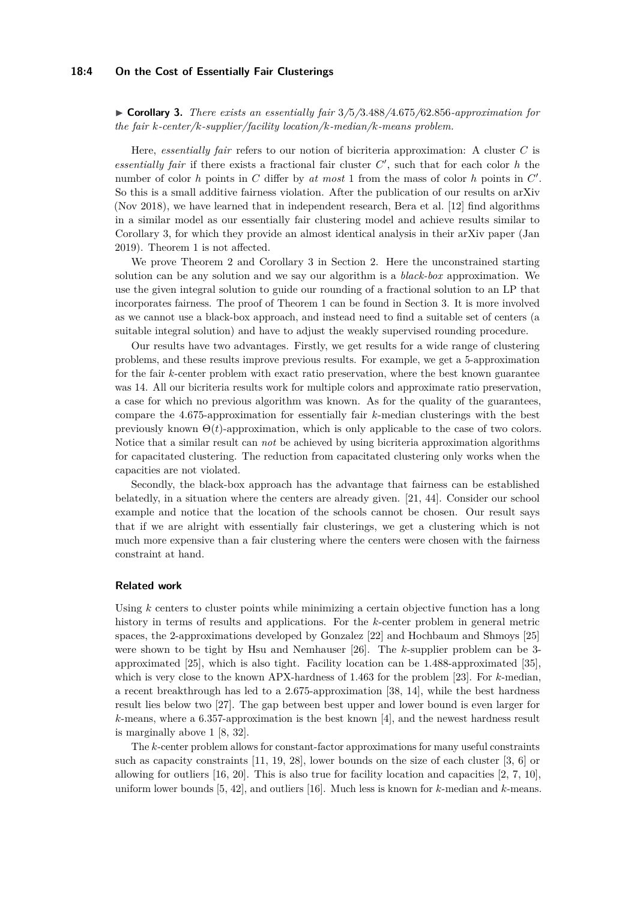#### **18:4 On the Cost of Essentially Fair Clusterings**

I **Corollary 3.** *There exists an essentially fair* 3*/*5*/*3*.*488*/*4*.*675*/*62*.*856*-approximation for the fair k-center/k-supplier/facility location/k-median/k-means problem.*

Here, *essentially fair* refers to our notion of bicriteria approximation: A cluster *C* is essentially fair if there exists a fractional fair cluster  $C'$ , such that for each color  $h$  the number of color *h* points in *C* differ by *at most* 1 from the mass of color *h* points in  $C'$ . So this is a small additive fairness violation. After the publication of our results on arXiv (Nov 2018), we have learned that in independent research, Bera et al. [\[12\]](#page-15-2) find algorithms in a similar model as our essentially fair clustering model and achieve results similar to Corollary [3,](#page-2-0) for which they provide an almost identical analysis in their arXiv paper (Jan 2019). Theorem [1](#page-2-1) is not affected.

We prove Theorem [2](#page-2-2) and Corollary [3](#page-2-0) in Section [2.](#page-7-0) Here the unconstrained starting solution can be any solution and we say our algorithm is a *black-box* approximation. We use the given integral solution to guide our rounding of a fractional solution to an LP that incorporates fairness. The proof of Theorem [1](#page-2-1) can be found in Section [3.](#page-11-0) It is more involved as we cannot use a black-box approach, and instead need to find a suitable set of centers (a suitable integral solution) and have to adjust the weakly supervised rounding procedure.

Our results have two advantages. Firstly, we get results for a wide range of clustering problems, and these results improve previous results. For example, we get a 5-approximation for the fair *k*-center problem with exact ratio preservation, where the best known guarantee was 14. All our bicriteria results work for multiple colors and approximate ratio preservation, a case for which no previous algorithm was known. As for the quality of the guarantees, compare the 4*.*675-approximation for essentially fair *k*-median clusterings with the best previously known  $\Theta(t)$ -approximation, which is only applicable to the case of two colors. Notice that a similar result can *not* be achieved by using bicriteria approximation algorithms for capacitated clustering. The reduction from capacitated clustering only works when the capacities are not violated.

Secondly, the black-box approach has the advantage that fairness can be established belatedly, in a situation where the centers are already given. [\[21,](#page-16-2) [44\]](#page-17-3). Consider our school example and notice that the location of the schools cannot be chosen. Our result says that if we are alright with essentially fair clusterings, we get a clustering which is not much more expensive than a fair clustering where the centers were chosen with the fairness constraint at hand.

#### **Related work**

Using *k* centers to cluster points while minimizing a certain objective function has a long history in terms of results and applications. For the *k*-center problem in general metric spaces, the 2-approximations developed by Gonzalez [\[22\]](#page-16-3) and Hochbaum and Shmoys [\[25\]](#page-16-4) were shown to be tight by Hsu and Nemhauser [\[26\]](#page-16-5). The *k*-supplier problem can be 3 approximated [\[25\]](#page-16-4), which is also tight. Facility location can be 1*.*488-approximated [\[35\]](#page-17-4), which is very close to the known APX-hardness of 1*.*463 for the problem [\[23\]](#page-16-6). For *k*-median, a recent breakthrough has led to a 2*.*675-approximation [\[38,](#page-17-5) [14\]](#page-15-3), while the best hardness result lies below two [\[27\]](#page-16-7). The gap between best upper and lower bound is even larger for *k*-means, where a 6*.*357-approximation is the best known [\[4\]](#page-15-4), and the newest hardness result is marginally above 1 [\[8,](#page-15-5) [32\]](#page-16-8).

The *k*-center problem allows for constant-factor approximations for many useful constraints such as capacity constraints [\[11,](#page-15-6) [19,](#page-16-9) [28\]](#page-16-10), lower bounds on the size of each cluster [\[3,](#page-15-7) [6\]](#page-15-8) or allowing for outliers [\[16,](#page-15-9) [20\]](#page-16-11). This is also true for facility location and capacities [\[2,](#page-14-0) [7,](#page-15-10) [10\]](#page-15-11), uniform lower bounds [\[5,](#page-15-12) [42\]](#page-17-6), and outliers [\[16\]](#page-15-9). Much less is known for *k*-median and *k*-means.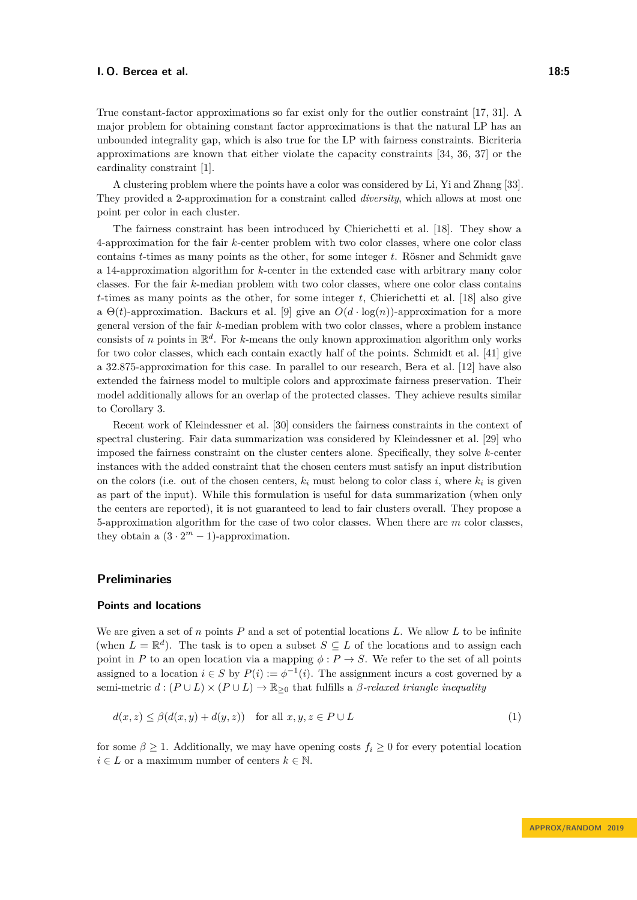True constant-factor approximations so far exist only for the outlier constraint [\[17,](#page-15-13) [31\]](#page-16-12). A major problem for obtaining constant factor approximations is that the natural LP has an unbounded integrality gap, which is also true for the LP with fairness constraints. Bicriteria approximations are known that either violate the capacity constraints [\[34,](#page-17-7) [36,](#page-17-8) [37\]](#page-17-9) or the cardinality constraint [\[1\]](#page-14-1).

A clustering problem where the points have a color was considered by Li, Yi and Zhang [\[33\]](#page-16-13). They provided a 2-approximation for a constraint called *diversity*, which allows at most one point per color in each cluster.

The fairness constraint has been introduced by Chierichetti et al. [\[18\]](#page-16-0). They show a 4-approximation for the fair *k*-center problem with two color classes, where one color class contains *t*-times as many points as the other, for some integer *t*. Rösner and Schmidt gave a 14-approximation algorithm for *k*-center in the extended case with arbitrary many color classes. For the fair *k*-median problem with two color classes, where one color class contains *t*-times as many points as the other, for some integer *t*, Chierichetti et al. [\[18\]](#page-16-0) also give a  $\Theta(t)$ -approximation. Backurs et al. [\[9\]](#page-15-14) give an  $O(d \cdot \log(n))$ -approximation for a more general version of the fair *k*-median problem with two color classes, where a problem instance consists of *n* points in  $\mathbb{R}^d$ . For *k*-means the only known approximation algorithm only works for two color classes, which each contain exactly half of the points. Schmidt et al. [\[41\]](#page-17-10) give a 32*.*875-approximation for this case. In parallel to our research, Bera et al. [\[12\]](#page-15-2) have also extended the fairness model to multiple colors and approximate fairness preservation. Their model additionally allows for an overlap of the protected classes. They achieve results similar to Corollary [3.](#page-2-0)

Recent work of Kleindessner et al. [\[30\]](#page-16-14) considers the fairness constraints in the context of spectral clustering. Fair data summarization was considered by Kleindessner et al. [\[29\]](#page-16-15) who imposed the fairness constraint on the cluster centers alone. Specifically, they solve *k*-center instances with the added constraint that the chosen centers must satisfy an input distribution on the colors (i.e. out of the chosen centers,  $k_i$  must belong to color class *i*, where  $k_i$  is given as part of the input). While this formulation is useful for data summarization (when only the centers are reported), it is not guaranteed to lead to fair clusters overall. They propose a 5-approximation algorithm for the case of two color classes. When there are *m* color classes, they obtain a  $(3 \cdot 2^m - 1)$ -approximation.

## <span id="page-4-0"></span>**Preliminaries**

## **Points and locations**

We are given a set of *n* points *P* and a set of potential locations *L*. We allow *L* to be infinite (when  $L = \mathbb{R}^d$ ). The task is to open a subset  $S \subseteq L$  of the locations and to assign each point in *P* to an open location via a mapping  $\phi: P \to S$ . We refer to the set of all points assigned to a location  $i \in S$  by  $P(i) := \phi^{-1}(i)$ . The assignment incurs a cost governed by a semi-metric  $d : (P \cup L) \times (P \cup L) \rightarrow \mathbb{R}_{\geq 0}$  that fulfills a *β*-relaxed triangle inequality

<span id="page-4-1"></span>
$$
d(x, z) \le \beta(d(x, y) + d(y, z)) \quad \text{for all } x, y, z \in P \cup L \tag{1}
$$

for some  $\beta > 1$ . Additionally, we may have opening costs  $f_i > 0$  for every potential location  $i \in L$  or a maximum number of centers  $k \in \mathbb{N}$ .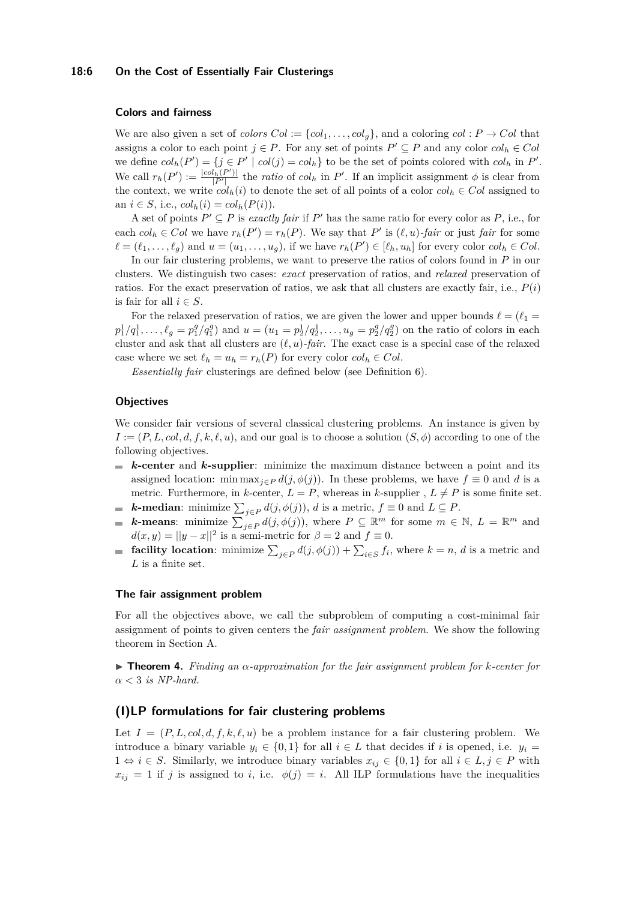#### **Colors and fairness**

We are also given a set of *colors*  $Col := \{col_1, \ldots, col_q\}$ , and a coloring  $col : P \rightarrow Col$  that assigns a color to each point  $j \in P$ . For any set of points  $P' \subseteq P$  and any color  $col_h \in Col$ we define  $col_h(P') = \{j \in P' \mid col(j) = col_h\}$  to be the set of points colored with  $col_h$  in  $P'$ . We call  $r_h(P') := \frac{|col_h(P')|}{|P'|}$  the *ratio* of  $col_h$  in P'. If an implicit assignment  $\phi$  is clear from the context, we write  $col_h(i)$  to denote the set of all points of a color  $col_h \in Col$  assigned to an  $i \in S$ , i.e.,  $col_h(i) = col_h(P(i))$ .

A set of points  $P' \subseteq P$  is *exactly fair* if  $P'$  has the same ratio for every color as  $P$ , i.e., for each  $col_h \in Col$  we have  $r_h(P') = r_h(P)$ . We say that P' is  $(\ell, u)$ -fair or just fair for some  $\ell = (\ell_1, \ldots, \ell_g)$  and  $u = (u_1, \ldots, u_g)$ , if we have  $r_h(P') \in [\ell_h, u_h]$  for every color  $col_h \in Col$ .

In our fair clustering problems, we want to preserve the ratios of colors found in *P* in our clusters. We distinguish two cases: *exact* preservation of ratios, and *relaxed* preservation of ratios. For the exact preservation of ratios, we ask that all clusters are exactly fair, i.e.,  $P(i)$ is fair for all  $i \in S$ .

For the relaxed preservation of ratios, we are given the lower and upper bounds  $\ell = (\ell_1 =$  $p_1^1/q_1^1,\ldots,\ell_g = p_1^g/q_1^g$  and  $u = (u_1 = p_2^1/q_2^1,\ldots,u_g = p_2^g/q_2^g)$  on the ratio of colors in each cluster and ask that all clusters are  $(\ell, u)$ *-fair*. The exact case is a special case of the relaxed case where we set  $\ell_h = u_h = r_h(P)$  for every color  $col_h \in Col$ .

*Essentially fair* clusterings are defined below (see Definition [6\)](#page-6-0).

## **Objectives**

We consider fair versions of several classical clustering problems. An instance is given by  $I := (P, L, col, d, f, k, \ell, u)$ , and our goal is to choose a solution  $(S, \phi)$  according to one of the following objectives.

- *k***-center** and *k***-supplier**: minimize the maximum distance between a point and its assigned location: min max<sub>*j∈P*</sub>  $d(j, \phi(j))$ . In these problems, we have  $f \equiv 0$  and *d* is a metric. Furthermore, in *k*-center,  $L = P$ , whereas in *k*-supplier,  $L \neq P$  is some finite set.
- *k***-median**: minimize  $\sum_{j\in P} d(j, \phi(j))$ , *d* is a metric,  $f \equiv 0$  and  $L \subseteq P$ .
- *k***-means**: minimize  $\sum_{j\in P} d(j, \phi(j))$ , where  $P \subseteq \mathbb{R}^m$  for some  $m \in \mathbb{N}$ ,  $L = \mathbb{R}^m$  and  $\blacksquare$  $d(x, y) = ||y - x||^2$  is a semi-metric for  $\beta = 2$  and  $f \equiv 0$ .
- **facility location**: minimize  $\sum_{j \in P} d(j, \phi(j)) + \sum_{i \in S} f_i$ , where  $k = n$ , *d* is a metric and *L* is a finite set.

#### **The fair assignment problem**

For all the objectives above, we call the subproblem of computing a cost-minimal fair assignment of points to given centers the *fair assignment problem*. We show the following theorem in Section [A.](#page-17-11)

I **Theorem 4.** *Finding an α-approximation for the fair assignment problem for k-center for α <* 3 *is NP-hard.*

# **(I)LP formulations for fair clustering problems**

Let  $I = (P, L, col, d, f, k, \ell, u)$  be a problem instance for a fair clustering problem. We introduce a binary variable  $y_i \in \{0, 1\}$  for all  $i \in L$  that decides if *i* is opened, i.e.  $y_i =$ 1 ⇔ *i* ∈ *S*. Similarly, we introduce binary variables  $x_{ij}$  ∈ {0,1} for all  $i \in L, j \in P$  with  $x_{ij} = 1$  if *j* is assigned to *i*, i.e.  $\phi(j) = i$ . All ILP formulations have the inequalities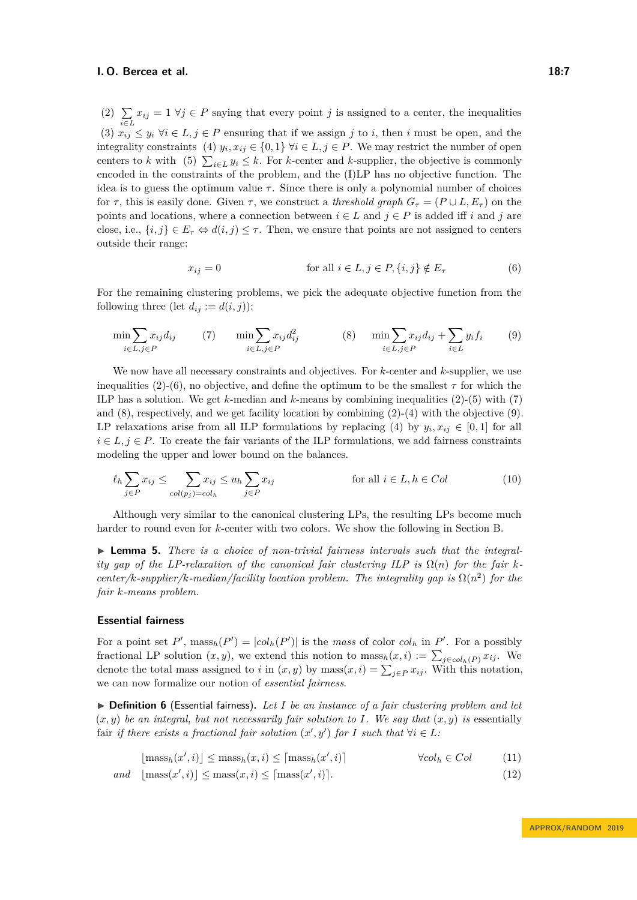<span id="page-6-9"></span><span id="page-6-6"></span><span id="page-6-3"></span><span id="page-6-1"></span> $(2) \sum$  $\sum_{i \in L} x_{ij} = 1 \ \forall j \in P$  saying that every point *j* is assigned to a center, the inequalities (3)  $x_{ij} \leq y_i \ \forall i \in L, j \in P$  ensuring that if we assign *j* to *i*, then *i* must be open, and the integrality constraints (4)  $y_i, x_{ij} \in \{0, 1\}$   $\forall i \in L, j \in P$ . We may restrict the number of open centers to *k* with (5)  $\sum_{i \in L} y_i \leq k$ . For *k*-center and *k*-supplier, the objective is commonly encoded in the constraints of the problem, and the (I)LP has no objective function. The idea is to guess the optimum value  $\tau$ . Since there is only a polynomial number of choices for  $\tau$ , this is easily done. Given  $\tau$ , we construct a *threshold graph*  $G_{\tau} = (P \cup L, E_{\tau})$  on the points and locations, where a connection between  $i \in L$  and  $j \in P$  is added iff *i* and *j* are close, i.e.,  $\{i, j\} \in E_{\tau} \Leftrightarrow d(i, j) \leq \tau$ . Then, we ensure that points are not assigned to centers outside their range:

<span id="page-6-8"></span><span id="page-6-7"></span><span id="page-6-5"></span><span id="page-6-2"></span>
$$
x_{ij} = 0 \qquad \text{for all } i \in L, j \in P, \{i, j\} \notin E_{\tau} \qquad (6)
$$

For the remaining clustering problems, we pick the adequate objective function from the following three (let  $d_{ij} := d(i, j)$ ):

<span id="page-6-4"></span>
$$
\min \sum_{i \in L, j \in P} x_{ij} d_{ij} \qquad (7) \qquad \min \sum_{i \in L, j \in P} x_{ij} d_{ij}^2 \qquad (8) \qquad \min \sum_{i \in L, j \in P} x_{ij} d_{ij} + \sum_{i \in L} y_i f_i \qquad (9)
$$

We now have all necessary constraints and objectives. For *k*-center and *k*-supplier, we use inequalities [\(2\)](#page-6-1)-[\(6\)](#page-6-2), no objective, and define the optimum to be the smallest  $\tau$  for which the ILP has a solution. We get *k*-median and *k*-means by combining inequalities [\(2\)](#page-6-1)-[\(5\)](#page-6-3) with [\(7\)](#page-6-4) and  $(8)$ , respectively, and we get facility location by combining  $(2)-(4)$  $(2)-(4)$  $(2)-(4)$  with the objective  $(9)$ . LP relaxations arise from all ILP formulations by replacing [\(4\)](#page-6-6) by  $y_i, x_{ij} \in [0,1]$  for all  $i \in L$ ,  $j \in P$ . To create the fair variants of the ILP formulations, we add fairness constraints modeling the upper and lower bound on the balances.

$$
\ell_h \sum_{j \in P} x_{ij} \le \sum_{col(p_j) = col_h} x_{ij} \le u_h \sum_{j \in P} x_{ij}
$$
 for all  $i \in L, h \in Col$  (10)

Although very similar to the canonical clustering LPs, the resulting LPs become much harder to round even for *k*-center with two colors. We show the following in Section [B.](#page-19-0)

<span id="page-6-10"></span>▶ **Lemma 5.** *There is a choice of non-trivial fairness intervals such that the integrality gap of the LP-relaxation of the canonical fair clustering ILP is*  $\Omega(n)$  *for the fair kcenter/k-supplier/k-median/facility location problem. The integrality gap is*  $\Omega(n^2)$  *for the fair k-means problem.*

#### **Essential fairness**

For a point set P',  $\text{mass}_h(P') = |col_h(P')|$  is the *mass* of color  $col_h$  in P'. For a possibly fractional LP solution  $(x, y)$ , we extend this notion to  $\text{mass}_h(x, i) := \sum_{j \in col_h(P)} x_{ij}$ . We denote the total mass assigned to *i* in  $(x, y)$  by mass $(x, i) = \sum_{j \in P} x_{ij}$ . With this notation, we can now formalize our notion of *essential fairness*.

<span id="page-6-0"></span>▶ **Definition 6** (Essential fairness). Let *I* be an instance of a fair clustering problem and let  $(x, y)$  be an integral, but not necessarily fair solution to *I*. We say that  $(x, y)$  is essentially fair *if there exists a fractional fair solution*  $(x', y')$  *for I such that*  $\forall i \in L$ *:* 

$$
[\text{mass}_h(x',i)] \le \text{mass}_h(x,i) \le [\text{mass}_h(x',i)] \qquad \forall col_h \in Col \qquad (11)
$$

$$
and \quad [\text{mass}(x',i)] \le \text{mass}(x,i) \le [\text{mass}(x',i)]. \tag{12}
$$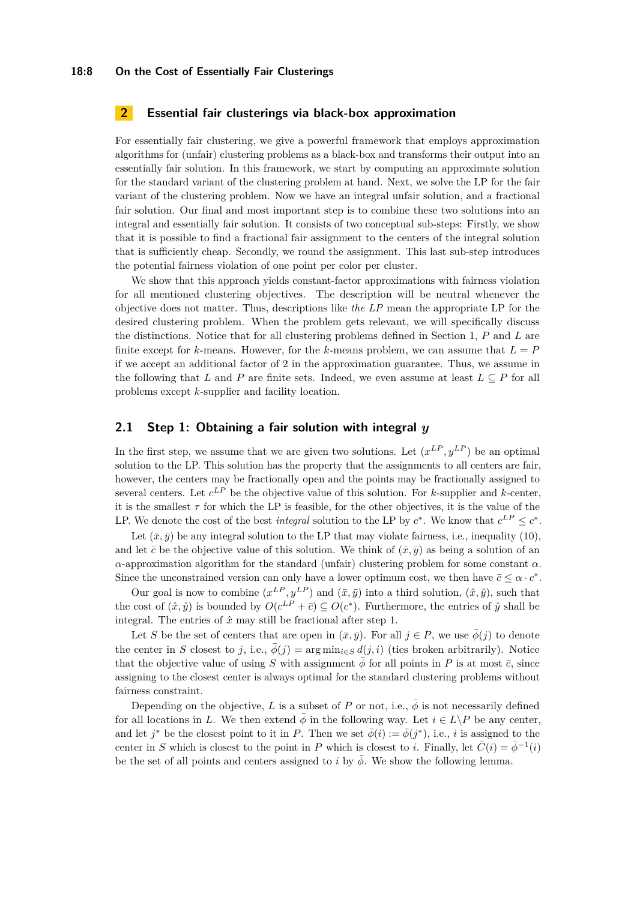## <span id="page-7-0"></span>**2 Essential fair clusterings via black-box approximation**

For essentially fair clustering, we give a powerful framework that employs approximation algorithms for (unfair) clustering problems as a black-box and transforms their output into an essentially fair solution. In this framework, we start by computing an approximate solution for the standard variant of the clustering problem at hand. Next, we solve the LP for the fair variant of the clustering problem. Now we have an integral unfair solution, and a fractional fair solution. Our final and most important step is to combine these two solutions into an integral and essentially fair solution. It consists of two conceptual sub-steps: Firstly, we show that it is possible to find a fractional fair assignment to the centers of the integral solution that is sufficiently cheap. Secondly, we round the assignment. This last sub-step introduces the potential fairness violation of one point per color per cluster.

We show that this approach yields constant-factor approximations with fairness violation for all mentioned clustering objectives. The description will be neutral whenever the objective does not matter. Thus, descriptions like *the LP* mean the appropriate LP for the desired clustering problem. When the problem gets relevant, we will specifically discuss the distinctions. Notice that for all clustering problems defined in Section [1,](#page-4-0) *P* and *L* are finite except for *k*-means. However, for the *k*-means problem, we can assume that  $L = P$ if we accept an additional factor of 2 in the approximation guarantee. Thus, we assume in the following that *L* and *P* are finite sets. Indeed, we even assume at least  $L \subseteq P$  for all problems except *k*-supplier and facility location.

## **2.1 Step 1: Obtaining a fair solution with integral** *y*

In the first step, we assume that we are given two solutions. Let  $(x^{LP}, y^{LP})$  be an optimal solution to the LP. This solution has the property that the assignments to all centers are fair, however, the centers may be fractionally open and the points may be fractionally assigned to several centers. Let *c LP* be the objective value of this solution. For *k*-supplier and *k*-center, it is the smallest  $\tau$  for which the LP is feasible, for the other objectives, it is the value of the LP. We denote the cost of the best *integral* solution to the LP by  $c^*$ . We know that  $c^{LP} \leq c^*$ .

Let  $(\bar{x}, \bar{y})$  be any integral solution to the LP that may violate fairness, i.e., inequality [\(10\)](#page-6-8), and let  $\bar{c}$  be the objective value of this solution. We think of  $(\bar{x}, \bar{y})$  as being a solution of an *α*-approximation algorithm for the standard (unfair) clustering problem for some constant *α*. Since the unconstrained version can only have a lower optimum cost, we then have  $\bar{c} \leq \alpha \cdot c^*$ .

Our goal is now to combine  $(x^{LP}, y^{LP})$  and  $(\bar{x}, \bar{y})$  into a third solution,  $(\hat{x}, \hat{y})$ , such that the cost of  $(\hat{x}, \hat{y})$  is bounded by  $O(c^{LP} + \bar{c}) \subseteq O(c^*)$ . Furthermore, the entries of  $\hat{y}$  shall be integral. The entries of  $\hat{x}$  may still be fractional after step 1.

Let *S* be the set of centers that are open in  $(\bar{x}, \bar{y})$ . For all  $j \in P$ , we use  $\bar{\phi}(j)$  to denote the center in *S* closest to *j*, i.e.,  $\bar{\phi}(j) = \arg \min_{i \in S} d(j, i)$  (ties broken arbitrarily). Notice that the objective value of using *S* with assignment  $\bar{\phi}$  for all points in *P* is at most  $\bar{c}$ , since assigning to the closest center is always optimal for the standard clustering problems without fairness constraint.

<span id="page-7-1"></span>Depending on the objective, L is a subset of P or not, i.e.,  $\bar{\phi}$  is not necessarily defined for all locations in *L*. We then extend  $\bar{\phi}$  in the following way. Let  $i \in L \backslash P$  be any center, and let  $j^*$  be the closest point to it in *P*. Then we set  $\bar{\phi}(i) := \bar{\phi}(j^*)$ , i.e., *i* is assigned to the center in *S* which is closest to the point in *P* which is closest to *i*. Finally, let  $\bar{C}(i) = \bar{\phi}^{-1}(i)$ be the set of all points and centers assigned to *i* by  $\phi$ . We show the following lemma.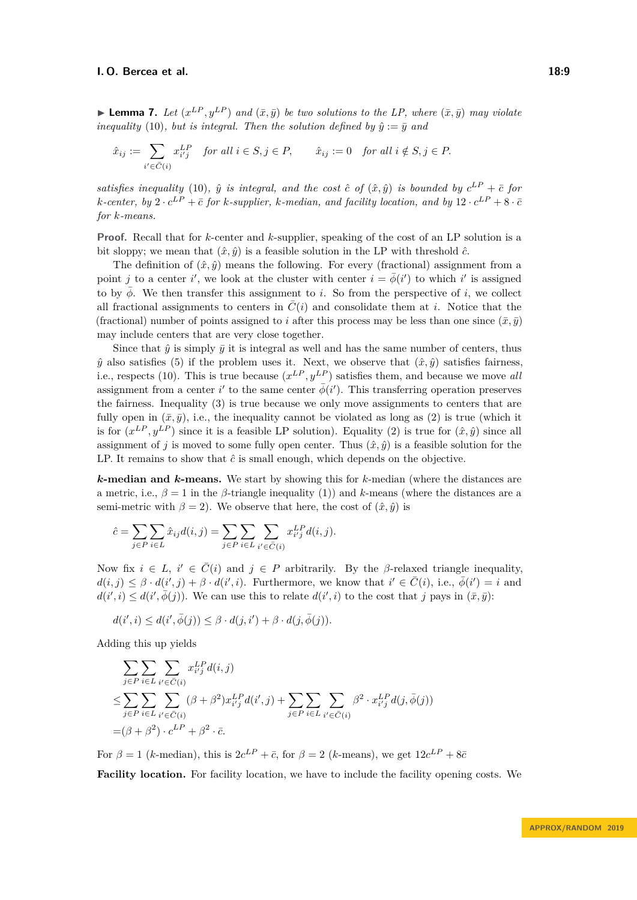$\blacktriangleright$  **Lemma 7.** Let  $(x^{LP}, y^{LP})$  and  $(\bar{x}, \bar{y})$  be two solutions to the LP, where  $(\bar{x}, \bar{y})$  may violate *inequality* [\(10\)](#page-6-8)*, but is integral. Then the solution defined by*  $\hat{y} := \bar{y}$  *and* 

$$
\hat{x}_{ij} := \sum_{i' \in \bar{C}(i)} x_{i'j}^{LP} \quad \text{for all } i \in S, j \in P, \qquad \hat{x}_{ij} := 0 \quad \text{for all } i \notin S, j \in P.
$$

*satisfies inequality* [\(10\)](#page-6-8),  $\hat{y}$  *is integral, and the cost*  $\hat{c}$  *of*  $(\hat{x}, \hat{y})$  *is bounded by*  $c^{LP} + \bar{c}$  *for k*-center, by 2 ·  $c^{LP} + \bar{c}$  for *k*-supplier, *k*-median, and facility location, and by  $12 \cdot c^{LP} + 8 \cdot \bar{c}$ *for k-means.*

**Proof.** Recall that for *k*-center and *k*-supplier, speaking of the cost of an LP solution is a bit sloppy; we mean that  $(\hat{x}, \hat{y})$  is a feasible solution in the LP with threshold  $\hat{c}$ .

The definition of  $(\hat{x}, \hat{y})$  means the following. For every (fractional) assignment from a point *j* to a center *i*', we look at the cluster with center  $i = \overline{\phi}(i')$  to which *i*' is assigned to by  $\phi$ . We then transfer this assignment to *i*. So from the perspective of *i*, we collect all fractional assignments to centers in  $\overline{C}(i)$  and consolidate them at *i*. Notice that the (fractional) number of points assigned to *i* after this process may be less than one since  $(\bar{x}, \bar{y})$ may include centers that are very close together.

Since that  $\hat{y}$  is simply  $\bar{y}$  it is integral as well and has the same number of centers, thus  $\hat{y}$  also satisfies [\(5\)](#page-6-3) if the problem uses it. Next, we observe that  $(\hat{x}, \hat{y})$  satisfies fairness, i.e., respects [\(10\)](#page-6-8). This is true because  $(x^{LP}, y^{LP})$  satisfies them, and because we move *all* assignment from a center  $i'$  to the same center  $\bar{\phi}(i')$ . This transferring operation preserves the fairness. Inequality [\(3\)](#page-6-9) is true because we only move assignments to centers that are fully open in  $(\bar{x}, \bar{y})$ , i.e., the inequality cannot be violated as long as [\(2\)](#page-6-1) is true (which it is for  $(x^{LP}, y^{LP})$  since it is a feasible LP solution). Equality [\(2\)](#page-6-1) is true for  $(\hat{x}, \hat{y})$  since all assignment of *j* is moved to some fully open center. Thus  $(\hat{x}, \hat{y})$  is a feasible solution for the LP. It remains to show that  $\hat{c}$  is small enough, which depends on the objective.

*k***-median and** *k***-means.** We start by showing this for *k*-median (where the distances are a metric, i.e.,  $\beta = 1$  in the  $\beta$ -triangle inequality [\(1\)](#page-4-1)) and *k*-means (where the distances are a semi-metric with  $\beta = 2$ ). We observe that here, the cost of  $(\hat{x}, \hat{y})$  is

$$
\hat{c} = \sum_{j \in P} \sum_{i \in L} \hat{x}_{ij} d(i, j) = \sum_{j \in P} \sum_{i \in L} \sum_{i' \in \bar{C}(i)} x_{i'j}^{LP} d(i, j).
$$

Now fix  $i \in L$ ,  $i' \in \overline{C}(i)$  and  $j \in P$  arbitrarily. By the  $\beta$ -relaxed triangle inequality,  $d(i, j) \leq \beta \cdot d(i', j) + \beta \cdot d(i', i)$ . Furthermore, we know that  $i' \in \overline{C}(i)$ , i.e.,  $\overline{\phi}(i') = i$  and  $d(i', i) \leq d(i', \overline{\phi}(j))$ . We can use this to relate  $d(i', i)$  to the cost that *j* pays in  $(\overline{x}, \overline{y})$ :

$$
d(i',i) \leq d(i',\overline{\phi}(j)) \leq \beta \cdot d(j,i') + \beta \cdot d(j,\overline{\phi}(j)).
$$

Adding this up yields

$$
\sum_{j \in P} \sum_{i \in L} \sum_{i' \in \overline{C}(i)} x_{i'j}^{LP} d(i, j)
$$
\n
$$
\leq \sum_{j \in P} \sum_{i \in L} \sum_{i' \in \overline{C}(i)} (\beta + \beta^2) x_{i'j}^{LP} d(i', j) + \sum_{j \in P} \sum_{i \in L} \sum_{i' \in \overline{C}(i)} \beta^2 \cdot x_{i'j}^{LP} d(j, \overline{\phi}(j))
$$
\n
$$
= (\beta + \beta^2) \cdot c^{LP} + \beta^2 \cdot \overline{c}.
$$

For  $\beta = 1$  (*k*-median), this is  $2c^{LP} + \bar{c}$ , for  $\beta = 2$  (*k*-means), we get  $12c^{LP} + 8\bar{c}$ 

**Facility location.** For facility location, we have to include the facility opening costs. We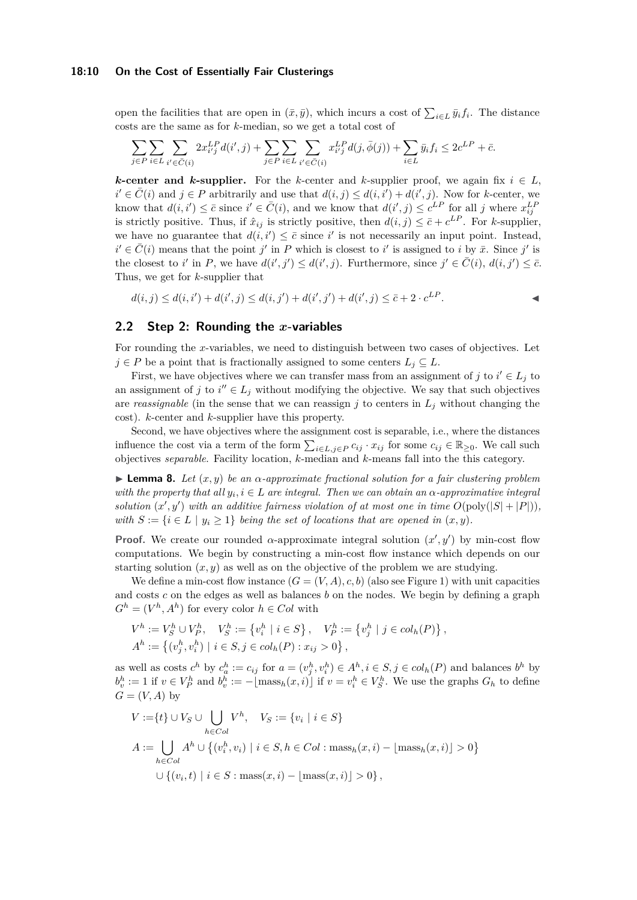#### **18:10 On the Cost of Essentially Fair Clusterings**

open the facilities that are open in  $(\bar{x}, \bar{y})$ , which incurs a cost of  $\sum_{i \in L} \bar{y}_i f_i$ . The distance costs are the same as for *k*-median, so we get a total cost of

$$
\sum\limits_{j\in P}\sum\limits_{i\in L}\sum\limits_{i'\in \bar{C}(i)}2x^{LP}_{i'j}d(i',j)+\sum\limits_{j\in P}\sum\limits_{i\in L}\sum\limits_{i'\in \bar{C}(i)}x^{LP}_{i'j}d(j,\bar{\phi}(j))+\sum\limits_{i\in L}\bar{y}_if_i\leq 2c^{LP}+\bar{c}.
$$

*k***-center and** *k***-supplier.** For the *k*-center and *k*-supplier proof, we again fix  $i \in L$ ,  $i' \in \overline{C}(i)$  and  $j \in P$  arbitrarily and use that  $d(i, j) \leq d(i, i') + d(i', j)$ . Now for *k*-center, we know that  $d(i, i') \leq \bar{c}$  since  $i' \in \bar{C}(i)$ , and we know that  $d(i', j) \leq c^{LP}$  for all *j* where  $x_{ij}^{LP}$ is strictly positive. Thus, if  $\hat{x}_{ij}$  is strictly positive, then  $d(i, j) \leq \bar{c} + c^{LP}$ . For *k*-supplier, we have no guarantee that  $d(i, i') \leq \bar{c}$  since *i*' is not necessarily an input point. Instead,  $i' \in \overline{C}(i)$  means that the point *j*' in *P* which is closest to *i*' is assigned to *i* by  $\overline{x}$ . Since *j*' is the closest to *i*' in *P*, we have  $d(i', j') \leq d(i', j)$ . Furthermore, since  $j' \in \overline{C}(i)$ ,  $d(i, j') \leq \overline{c}$ . Thus, we get for *k*-supplier that

 $d(i, j) \leq d(i, i') + d(i', j) \leq d(i, j') + d(i', j') + d(i', j) \leq \bar{c} + 2 \cdot c^{LF}$ *.* J

## **2.2 Step 2: Rounding the** *x***-variables**

For rounding the *x*-variables, we need to distinguish between two cases of objectives. Let  $j \in P$  be a point that is fractionally assigned to some centers  $L_j \subseteq L$ .

First, we have objectives where we can transfer mass from an assignment of  $j$  to  $i' \in L_j$  to an assignment of *j* to  $i'' \in L_j$  without modifying the objective. We say that such objectives are *reassignable* (in the sense that we can reassign  $j$  to centers in  $L_j$  without changing the cost). *k*-center and *k*-supplier have this property.

Second, we have objectives where the assignment cost is separable, i.e., where the distances influence the cost via a term of the form  $\sum_{i \in L, j \in P} c_{ij} \cdot x_{ij}$  for some  $c_{ij} \in \mathbb{R}_{\geq 0}$ . We call such objectives *separable*. Facility location, *k*-median and *k*-means fall into the this category.

<span id="page-9-0"></span>**Lemma 8.** Let  $(x, y)$  be an  $\alpha$ -approximate fractional solution for a fair clustering problem *with the property that all*  $y_i, i \in L$  *are integral. Then we can obtain an*  $\alpha$ -*approximative integral solution*  $(x', y')$  *with an additive fairness violation of at most one in time*  $O(poly(|S| + |P|))$ *, with*  $S := \{i \in L \mid y_i \geq 1\}$  *being the set of locations that are opened in*  $(x, y)$ *.* 

**Proof.** We create our rounded  $\alpha$ -approximate integral solution  $(x', y')$  by min-cost flow computations. We begin by constructing a min-cost flow instance which depends on our starting solution  $(x, y)$  as well as on the objective of the problem we are studying.

We define a min-cost flow instance  $(G = (V, A), c, b)$  (also see Figure [1\)](#page-11-1) with unit capacities and costs *c* on the edges as well as balances *b* on the nodes. We begin by defining a graph  $G^h = (V^h, A^h)$  for every color  $h \in Col$  with

$$
V^h := V_S^h \cup V_P^h, \quad V_S^h := \{v_i^h \mid i \in S\}, \quad V_P^h := \{v_j^h \mid j \in col_h(P)\},
$$
  

$$
A^h := \{ (v_j^h, v_i^h) \mid i \in S, j \in col_h(P) : x_{ij} > 0 \},
$$

as well as costs  $c^h$  by  $c_a^h := c_{ij}$  for  $a = (v_j^h, v_i^h) \in A^h, i \in S, j \in col_h(P)$  and balances  $b^h$  by  $b_v^h := 1$  if  $v \in V_P^h$  and  $b_v^h := -\lfloor \text{mass}_h(x, i) \rfloor$  if  $v = v_i^h \in V_S^h$ . We use the graphs  $G_h$  to define  $G = (V, A)$  by

$$
V := \{t\} \cup V_S \cup \bigcup_{h \in Col} V^h, \quad V_S := \{v_i \mid i \in S\}
$$
  

$$
A := \bigcup_{h \in Col} A^h \cup \{(v_i^h, v_i) \mid i \in S, h \in Col : \text{mass}_h(x, i) - \lfloor \text{mass}_h(x, i) \rfloor > 0\}
$$
  

$$
\cup \{(v_i, t) \mid i \in S : \text{mass}(x, i) - \lfloor \text{mass}(x, i) \rfloor > 0\},
$$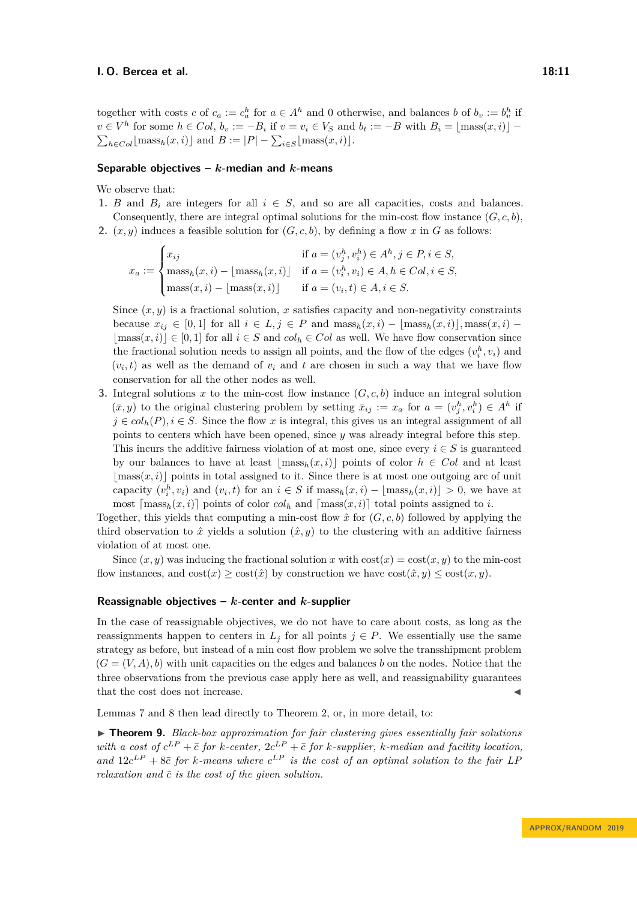together with costs *c* of  $c_a := c_a^h$  for  $a \in A^h$  and 0 otherwise, and balances *b* of  $b_v := b_v^h$  if  $v \in V^h$  for some  $h \in Col$ ,  $b_v := -B_i$  if  $v = v_i \in V_S$  and  $b_t := -B$  with  $B_i = \lfloor \text{mass}(x, i) \rfloor \sum_{h \in Col}$ [mass<sub>h</sub>(*x, i*)] and  $B := |P| - \sum_{i \in S}$ [mass(*x, i*)].

## **Separable objectives –** *k***-median and** *k***-means**

We observe that:

- 1. *B* and  $B_i$  are integers for all  $i \in S$ , and so are all capacities, costs and balances. Consequently, there are integral optimal solutions for the min-cost flow instance  $(G, c, b)$ ,
- **2.**  $(x, y)$  induces a feasible solution for  $(G, c, b)$ , by defining a flow x in G as follows:

$$
x_a := \begin{cases} x_{ij} & \text{if } a = (v_j^h, v_i^h) \in A^h, j \in P, i \in S, \\ \text{mass}_h(x, i) - \lfloor \text{mass}_h(x, i) \rfloor & \text{if } a = (v_i^h, v_i) \in A, h \in Col, i \in S, \\ \text{mass}(x, i) - \lfloor \text{mass}(x, i) \rfloor & \text{if } a = (v_i, t) \in A, i \in S. \end{cases}
$$

Since  $(x, y)$  is a fractional solution, x satisfies capacity and non-negativity constraints because  $x_{ij} \in [0,1]$  for all  $i \in L, j \in P$  and  $\text{mass}_h(x,i) - \lfloor \text{mass}_h(x,i) \rfloor, \text{mass}(x,i) |\text{mass}(x, i)| \in [0, 1]$  for all  $i \in S$  and  $col_h \in Col$  as well. We have flow conservation since the fractional solution needs to assign all points, and the flow of the edges  $(v_i^h, v_i)$  and  $(v_i, t)$  as well as the demand of  $v_i$  and  $t$  are chosen in such a way that we have flow conservation for all the other nodes as well.

**3.** Integral solutions *x* to the min-cost flow instance (*G, c, b*) induce an integral solution  $(\bar{x}, y)$  to the original clustering problem by setting  $\bar{x}_{ij} := x_a$  for  $a = (v_j^h, v_i^h) \in A^h$  if  $j \in col_h(P), i \in S$ . Since the flow *x* is integral, this gives us an integral assignment of all points to centers which have been opened, since *y* was already integral before this step. This incurs the additive fairness violation of at most one, since every  $i \in S$  is guaranteed by our balances to have at least  $|\text{mass}_h(x, i)|$  points of color  $h \in Col$  and at least  $|\text{mass}(x, i)|$  points in total assigned to it. Since there is at most one outgoing arc of unit capacity  $(v_i^h, v_i)$  and  $(v_i, t)$  for an  $i \in S$  if  $\text{mass}_h(x, i) - \lfloor \text{mass}_h(x, i) \rfloor > 0$ , we have at most  $\left[\text{mass}_h(x, i)\right]$  points of color  $col_h$  and  $\left[\text{mass}(x, i)\right]$  total points assigned to *i*.

Together, this yields that computing a min-cost flow  $\hat{x}$  for  $(G, c, b)$  followed by applying the third observation to  $\hat{x}$  yields a solution  $(\hat{x}, y)$  to the clustering with an additive fairness violation of at most one.

Since  $(x, y)$  was inducing the fractional solution *x* with  $cost(x) = cost(x, y)$  to the min-cost flow instances, and  $\text{cost}(x) \geq \text{cost}(\hat{x})$  by construction we have  $\text{cost}(\hat{x}, y) \leq \text{cost}(x, y)$ .

#### **Reassignable objectives –** *k***-center and** *k***-supplier**

In the case of reassignable objectives, we do not have to care about costs, as long as the reassignments happen to centers in  $L_j$  for all points  $j \in P$ . We essentially use the same strategy as before, but instead of a min cost flow problem we solve the transshipment problem  $(G = (V, A), b)$  with unit capacities on the edges and balances *b* on the nodes. Notice that the three observations from the previous case apply here as well, and reassignability guarantees that the cost does not increase.

Lemmas [7](#page-7-1) and [8](#page-9-0) then lead directly to Theorem [2,](#page-2-2) or, in more detail, to:

▶ **Theorem 9.** *Black-box approximation for fair clustering gives essentially fair solutions with a cost of*  $c^{LP} + \bar{c}$  *for k-center,*  $2c^{LP} + \bar{c}$  *for k-supplier, k-median and facility location,* and  $12c^{LP} + 8\bar{c}$  for *k*-means where  $c^{LP}$  is the cost of an optimal solution to the fair LP *relaxation and*  $\bar{c}$  *is the cost of the given solution.*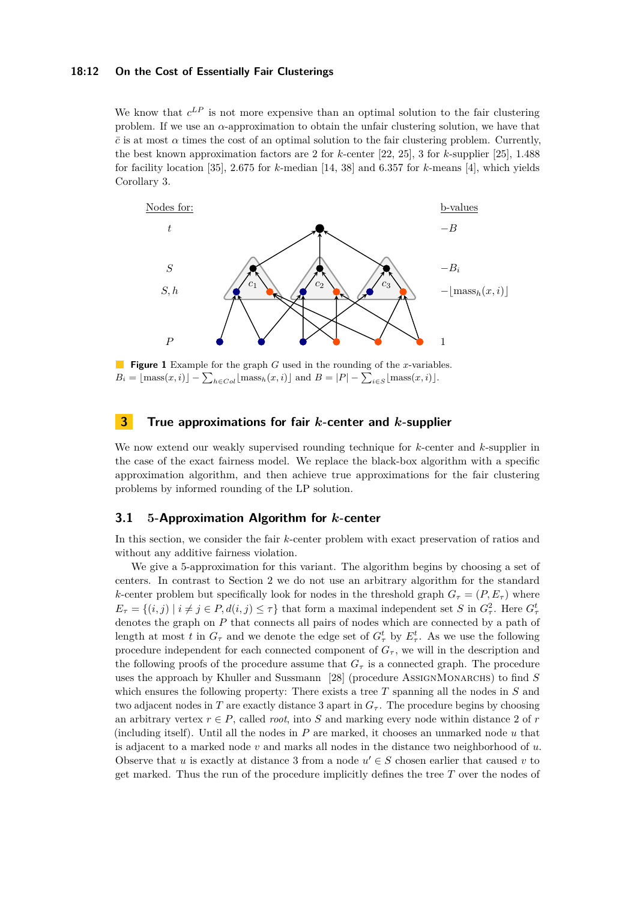#### **18:12 On the Cost of Essentially Fair Clusterings**

We know that  $c^{LP}$  is not more expensive than an optimal solution to the fair clustering problem. If we use an *α*-approximation to obtain the unfair clustering solution, we have that  $\bar{c}$  is at most  $\alpha$  times the cost of an optimal solution to the fair clustering problem. Currently, the best known approximation factors are 2 for *k*-center [\[22,](#page-16-3) [25\]](#page-16-4), 3 for *k*-supplier [\[25\]](#page-16-4), 1*.*488 for facility location [\[35\]](#page-17-4), 2*.*675 for *k*-median [\[14,](#page-15-3) [38\]](#page-17-5) and 6*.*357 for *k*-means [\[4\]](#page-15-4), which yields Corollary [3.](#page-2-0)

<span id="page-11-1"></span>

**Figure 1** Example for the graph *G* used in the rounding of the *x*-variables.  $B_i = \lfloor \text{mass}(x, i) \rfloor - \sum_{h \in Col} \lfloor \text{mass}_h(x, i) \rfloor \text{ and } B = |P| - \sum_{i \in S} \lfloor \text{mass}(x, i) \rfloor.$ 

# <span id="page-11-0"></span>**3 True approximations for fair** *k***-center and** *k***-supplier**

We now extend our weakly supervised rounding technique for *k*-center and *k*-supplier in the case of the exact fairness model. We replace the black-box algorithm with a specific approximation algorithm, and then achieve true approximations for the fair clustering problems by informed rounding of the LP solution.

#### <span id="page-11-2"></span>**3.1 5-Approximation Algorithm for** *k***-center**

In this section, we consider the fair *k*-center problem with exact preservation of ratios and without any additive fairness violation.

We give a 5-approximation for this variant. The algorithm begins by choosing a set of centers. In contrast to Section [2](#page-7-0) we do not use an arbitrary algorithm for the standard *k*-center problem but specifically look for nodes in the threshold graph  $G<sub>\tau</sub> = (P, E<sub>\tau</sub>)$  where  $E_{\tau} = \{(i, j) \mid i \neq j \in P, d(i, j) \leq \tau\}$  that form a maximal independent set *S* in  $G_{\tau}^2$ . Here  $G_{\tau}^t$ denotes the graph on *P* that connects all pairs of nodes which are connected by a path of length at most *t* in  $G_{\tau}$  and we denote the edge set of  $G_{\tau}^{t}$  by  $E_{\tau}^{t}$ . As we use the following procedure independent for each connected component of  $G<sub>\tau</sub>$ , we will in the description and the following proofs of the procedure assume that  $G<sub>\tau</sub>$  is a connected graph. The procedure uses the approach by Khuller and Sussmann [\[28\]](#page-16-10) (procedure AssignMonarchs) to find *S* which ensures the following property: There exists a tree *T* spanning all the nodes in *S* and two adjacent nodes in *T* are exactly distance 3 apart in  $G<sub>\tau</sub>$ . The procedure begins by choosing an arbitrary vertex  $r \in P$ , called *root*, into *S* and marking every node within distance 2 of *r* (including itself). Until all the nodes in *P* are marked, it chooses an unmarked node *u* that is adjacent to a marked node *v* and marks all nodes in the distance two neighborhood of *u*. Observe that *u* is exactly at distance 3 from a node  $u' \in S$  chosen earlier that caused *v* to get marked. Thus the run of the procedure implicitly defines the tree *T* over the nodes of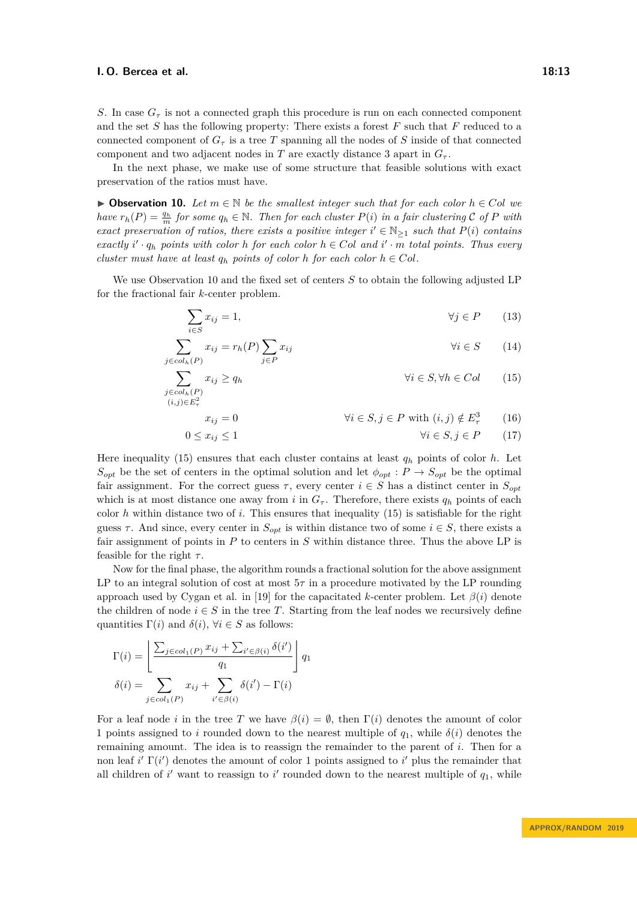*S*. In case  $G_{\tau}$  is not a connected graph this procedure is run on each connected component and the set *S* has the following property: There exists a forest *F* such that *F* reduced to a connected component of  $G<sub>\tau</sub>$  is a tree *T* spanning all the nodes of *S* inside of that connected component and two adjacent nodes in *T* are exactly distance 3 apart in  $G_{\tau}$ .

In the next phase, we make use of some structure that feasible solutions with exact preservation of the ratios must have.

<span id="page-12-0"></span>**▶ Observation 10.** Let  $m \in \mathbb{N}$  be the smallest integer such that for each color  $h \in Col$  we *have*  $r_h(P) = \frac{q_h}{m}$  *for some*  $q_h \in \mathbb{N}$ *. Then for each cluster*  $P(i)$  *in a fair clustering*  $C$  *of*  $P$  *with exact preservation of ratios, there exists a positive integer*  $i' \in \mathbb{N}_{\geq 1}$  *such that*  $P(i)$  *contains*  $\int$  *exactly*  $i' \cdot q_h$  *points with color*  $h$  *for each color*  $h \in Col$  *and*  $i' \cdot m$  *total points. Thus every cluster must have at least*  $q_h$  *points of color*  $h$  *for each color*  $h \in Col$ *.* 

We use Observation [10](#page-12-0) and the fixed set of centers *S* to obtain the following adjusted LP for the fractional fair *k*-center problem.

$$
\sum_{i \in S} x_{ij} = 1, \qquad \forall j \in P \qquad (13)
$$

$$
\sum_{j \in col_h(P)} x_{ij} = r_h(P) \sum_{j \in P} x_{ij} \qquad \forall i \in S \qquad (14)
$$

$$
\sum_{\substack{j \in col_h(P) \\ (i,j) \in E_\tau^2}} x_{ij} \ge q_h \qquad \forall i \in S, \forall h \in Col \qquad (15)
$$

<span id="page-12-3"></span><span id="page-12-2"></span><span id="page-12-1"></span>
$$
x_{ij} = 0 \qquad \qquad \forall i \in S, j \in P \text{ with } (i, j) \notin E_{\tau}^{3} \qquad (16)
$$

$$
0 \le x_{ij} \le 1 \qquad \qquad \forall i \in S, j \in P \qquad (17)
$$

Here inequality [\(15\)](#page-12-1) ensures that each cluster contains at least  $q_h$  points of color  $h$ . Let  $S_{opt}$  be the set of centers in the optimal solution and let  $\phi_{opt}: P \to S_{opt}$  be the optimal fair assignment. For the correct guess  $\tau$ , every center  $i \in S$  has a distinct center in  $S_{\text{out}}$ which is at most distance one away from *i* in  $G_{\tau}$ . Therefore, there exists  $q_h$  points of each color *h* within distance two of *i*. This ensures that inequality [\(15\)](#page-12-1) is satisfiable for the right guess  $\tau$ . And since, every center in  $S_{opt}$  is within distance two of some  $i \in S$ , there exists a fair assignment of points in *P* to centers in *S* within distance three. Thus the above LP is feasible for the right *τ* .

Now for the final phase, the algorithm rounds a fractional solution for the above assignment LP to an integral solution of cost at most  $5\tau$  in a procedure motivated by the LP rounding approach used by Cygan et al. in [\[19\]](#page-16-9) for the capacitated *k*-center problem. Let *β*(*i*) denote the children of node  $i \in S$  in the tree *T*. Starting from the leaf nodes we recursively define quantities  $\Gamma(i)$  and  $\delta(i)$ ,  $\forall i \in S$  as follows:

$$
\Gamma(i) = \left[ \frac{\sum_{j \in col_1(P)} x_{ij} + \sum_{i' \in \beta(i)} \delta(i')}{q_1} \right] q_1
$$

$$
\delta(i) = \sum_{j \in col_1(P)} x_{ij} + \sum_{i' \in \beta(i)} \delta(i') - \Gamma(i)
$$

For a leaf node *i* in the tree *T* we have  $\beta(i) = \emptyset$ , then  $\Gamma(i)$  denotes the amount of color 1 points assigned to *i* rounded down to the nearest multiple of  $q_1$ , while  $\delta(i)$  denotes the remaining amount. The idea is to reassign the remainder to the parent of *i*. Then for a non leaf  $i'$   $\Gamma(i')$  denotes the amount of color 1 points assigned to  $i'$  plus the remainder that all children of  $i'$  want to reassign to  $i'$  rounded down to the nearest multiple of  $q_1$ , while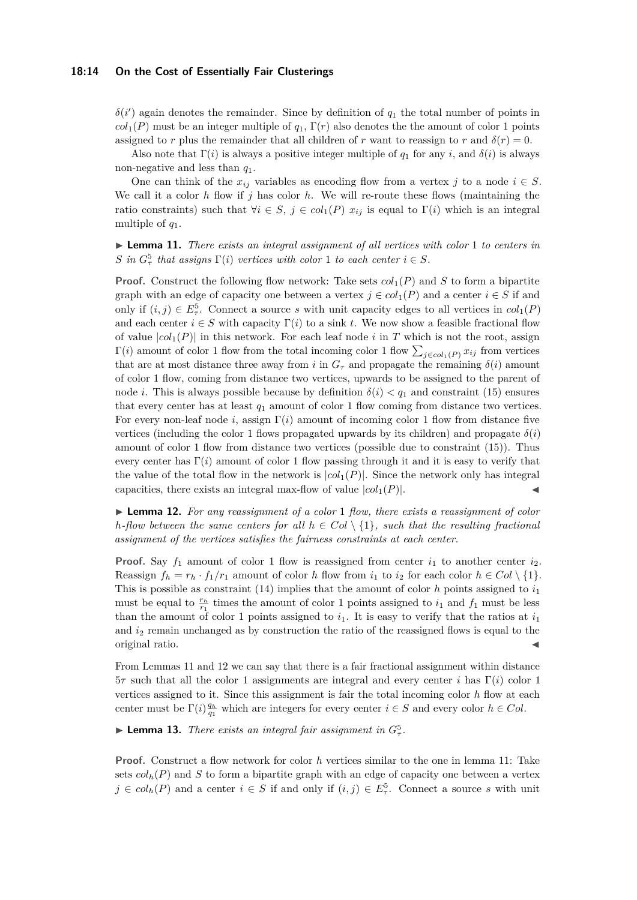#### **18:14 On the Cost of Essentially Fair Clusterings**

 $\delta(i')$  again denotes the remainder. Since by definition of  $q_1$  the total number of points in  $col<sub>1</sub>(P)$  must be an integer multiple of  $q<sub>1</sub>$ , Γ(*r*) also denotes the the amount of color 1 points assigned to *r* plus the remainder that all children of *r* want to reassign to *r* and  $\delta(r) = 0$ .

Also note that  $\Gamma(i)$  is always a positive integer multiple of  $q_1$  for any *i*, and  $\delta(i)$  is always non-negative and less than *q*1.

One can think of the  $x_{ij}$  variables as encoding flow from a vertex *j* to a node  $i \in S$ . We call it a color  $h$  flow if  $j$  has color  $h$ . We will re-route these flows (maintaining the ratio constraints) such that  $\forall i \in S, j \in col_1(P)$   $x_{ij}$  is equal to  $\Gamma(i)$  which is an integral multiple of *q*1.

<span id="page-13-0"></span>I **Lemma 11.** *There exists an integral assignment of all vertices with color* 1 *to centers in S* in  $G^5_\tau$  that assigns  $\Gamma(i)$  vertices with color 1 to each center  $i \in S$ .

**Proof.** Construct the following flow network: Take sets  $col_1(P)$  and *S* to form a bipartite graph with an edge of capacity one between a vertex  $j \in col_1(P)$  and a center  $i \in S$  if and only if  $(i, j) \in E^5_\tau$ . Connect a source *s* with unit capacity edges to all vertices in  $col_1(P)$ and each center  $i \in S$  with capacity  $\Gamma(i)$  to a sink t. We now show a feasible fractional flow of value  $|col_1(P)|$  in this network. For each leaf node *i* in *T* which is not the root, assign Γ(*i*) amount of color 1 flow from the total incoming color 1 flow  $\sum_{j \in col_1(P)} x_{ij}$  from vertices that are at most distance three away from *i* in  $G<sub>\tau</sub>$  and propagate the remaining  $\delta(i)$  amount of color 1 flow, coming from distance two vertices, upwards to be assigned to the parent of node *i*. This is always possible because by definition  $\delta(i) < q_1$  and constraint [\(15\)](#page-12-1) ensures that every center has at least *q*<sup>1</sup> amount of color 1 flow coming from distance two vertices. For every non-leaf node *i*, assign Γ(*i*) amount of incoming color 1 flow from distance five vertices (including the color 1 flows propagated upwards by its children) and propagate  $\delta(i)$ amount of color 1 flow from distance two vertices (possible due to constraint [\(15\)](#page-12-1)). Thus every center has  $\Gamma(i)$  amount of color 1 flow passing through it and it is easy to verify that the value of the total flow in the network is  $|col_1(P)|$ . Since the network only has integral capacities, there exists an integral max-flow of value  $|col_1(P)|$ .

<span id="page-13-1"></span>I **Lemma 12.** *For any reassignment of a color* 1 *flow, there exists a reassignment of color h*-flow between the same centers for all  $h \in Col \setminus \{1\}$ , such that the resulting fractional *assignment of the vertices satisfies the fairness constraints at each center.*

**Proof.** Say  $f_1$  amount of color 1 flow is reassigned from center  $i_1$  to another center  $i_2$ . Reassign  $f_h = r_h \cdot f_1/r_1$  amount of color *h* flow from  $i_1$  to  $i_2$  for each color  $h \in Col \setminus \{1\}$ . This is possible as constraint [\(14\)](#page-12-2) implies that the amount of color *h* points assigned to *i*<sup>1</sup> must be equal to  $\frac{r_h}{r_1}$  times the amount of color 1 points assigned to  $i_1$  and  $f_1$  must be less than the amount of color 1 points assigned to  $i_1$ . It is easy to verify that the ratios at  $i_1$ and *i*<sup>2</sup> remain unchanged as by construction the ratio of the reassigned flows is equal to the original ratio. J

From Lemmas [11](#page-13-0) and [12](#page-13-1) we can say that there is a fair fractional assignment within distance 5*τ* such that all the color 1 assignments are integral and every center *i* has Γ(*i*) color 1 vertices assigned to it. Since this assignment is fair the total incoming color *h* flow at each center must be  $\Gamma(i) \frac{q_h}{q_1}$  which are integers for every center  $i \in S$  and every color  $h \in Col$ .

<span id="page-13-2"></span>**Example 13.** *There exists an integral fair assignment in*  $G^5_\tau$ .

**Proof.** Construct a flow network for color *h* vertices similar to the one in lemma [11:](#page-13-0) Take sets  $\text{col}_{h}(P)$  and *S* to form a bipartite graph with an edge of capacity one between a vertex  $j \in col_h(P)$  and a center  $i \in S$  if and only if  $(i, j) \in E_\tau^5$ . Connect a source *s* with unit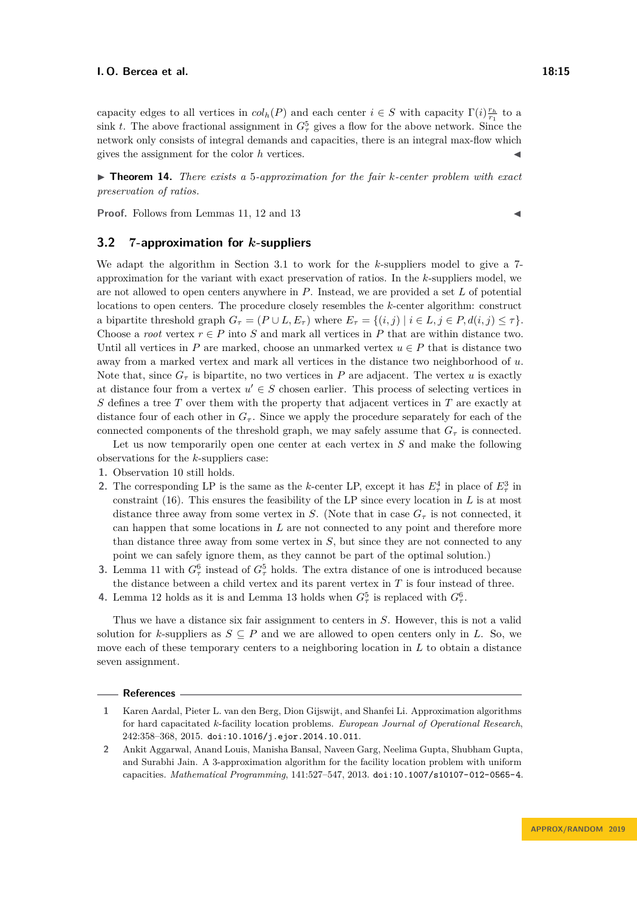capacity edges to all vertices in  $col_h(P)$  and each center  $i \in S$  with capacity  $\Gamma(i) \frac{r_h}{r_1}$  to a sink *t*. The above fractional assignment in  $G^5_\tau$  gives a flow for the above network. Since the network only consists of integral demands and capacities, there is an integral max-flow which gives the assignment for the color  $h$  vertices.

▶ **Theorem 14.** *There exists a* 5*-approximation for the fair k-center problem with exact preservation of ratios.*

**Proof.** Follows from Lemmas [11,](#page-13-0) [12](#page-13-1) and [13](#page-13-2)

## **3.2 7-approximation for** *k***-suppliers**

We adapt the algorithm in Section [3.1](#page-11-2) to work for the *k*-suppliers model to give a 7 approximation for the variant with exact preservation of ratios. In the *k*-suppliers model, we are not allowed to open centers anywhere in *P*. Instead, we are provided a set *L* of potential locations to open centers. The procedure closely resembles the *k*-center algorithm: construct a bipartite threshold graph  $G_{\tau} = (P \cup L, E_{\tau})$  where  $E_{\tau} = \{(i, j) | i \in L, j \in P, d(i, j) \leq \tau\}.$ Choose a *root* vertex  $r \in P$  into *S* and mark all vertices in *P* that are within distance two. Until all vertices in *P* are marked, choose an unmarked vertex  $u \in P$  that is distance two away from a marked vertex and mark all vertices in the distance two neighborhood of *u*. Note that, since  $G_{\tau}$  is bipartite, no two vertices in *P* are adjacent. The vertex *u* is exactly at distance four from a vertex  $u' \in S$  chosen earlier. This process of selecting vertices in *S* defines a tree *T* over them with the property that adjacent vertices in *T* are exactly at distance four of each other in  $G_{\tau}$ . Since we apply the procedure separately for each of the connected components of the threshold graph, we may safely assume that  $G<sub>\tau</sub>$  is connected.

Let us now temporarily open one center at each vertex in *S* and make the following observations for the *k*-suppliers case:

- **1.** Observation [10](#page-12-0) still holds.
- **2.** The corresponding LP is the same as the *k*-center LP, except it has  $E_7^4$  in place of  $E_7^3$  in constraint [\(16\)](#page-12-3). This ensures the feasibility of the LP since every location in *L* is at most distance three away from some vertex in *S*. (Note that in case  $G<sub>\tau</sub>$  is not connected, it can happen that some locations in *L* are not connected to any point and therefore more than distance three away from some vertex in *S*, but since they are not connected to any point we can safely ignore them, as they cannot be part of the optimal solution.)
- **3.** Lemma [11](#page-13-0) with  $G_{\tau}^6$  instead of  $G_{\tau}^5$  holds. The extra distance of one is introduced because the distance between a child vertex and its parent vertex in *T* is four instead of three.
- **4.** Lemma [12](#page-13-1) holds as it is and Lemma [13](#page-13-2) holds when  $G^5_\tau$  is replaced with  $G^6_\tau$ .

Thus we have a distance six fair assignment to centers in *S*. However, this is not a valid solution for *k*-suppliers as  $S \subseteq P$  and we are allowed to open centers only in *L*. So, we move each of these temporary centers to a neighboring location in *L* to obtain a distance seven assignment.

#### **References**

- <span id="page-14-1"></span>**1** Karen Aardal, Pieter L. van den Berg, Dion Gijswijt, and Shanfei Li. Approximation algorithms for hard capacitated *k*-facility location problems. *European Journal of Operational Research*, 242:358–368, 2015. [doi:10.1016/j.ejor.2014.10.011](https://doi.org/10.1016/j.ejor.2014.10.011).
- <span id="page-14-0"></span>**2** Ankit Aggarwal, Anand Louis, Manisha Bansal, Naveen Garg, Neelima Gupta, Shubham Gupta, and Surabhi Jain. A 3-approximation algorithm for the facility location problem with uniform capacities. *Mathematical Programming*, 141:527–547, 2013. [doi:10.1007/s10107-012-0565-4](https://doi.org/10.1007/s10107-012-0565-4).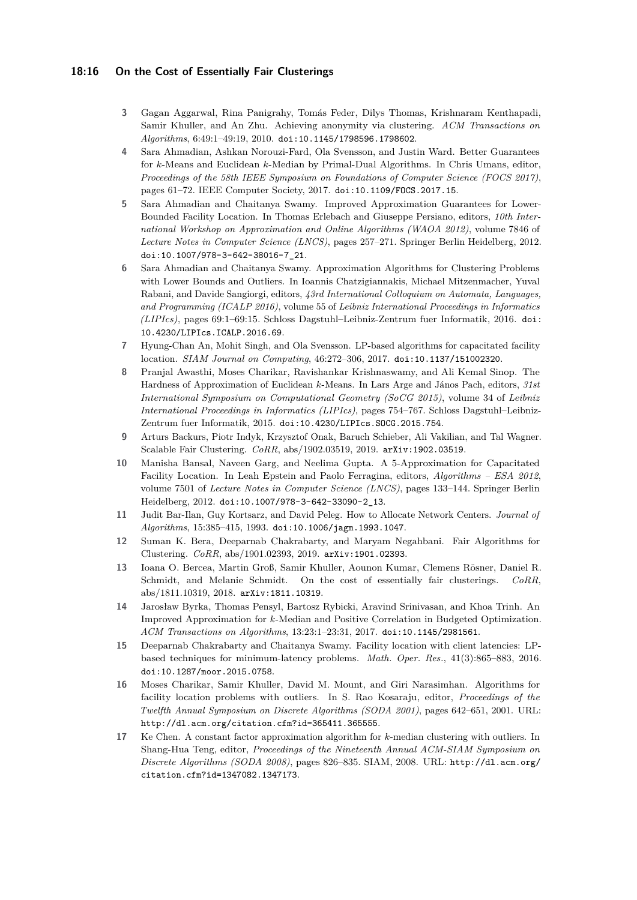## **18:16 On the Cost of Essentially Fair Clusterings**

- <span id="page-15-7"></span>**3** Gagan Aggarwal, Rina Panigrahy, Tomás Feder, Dilys Thomas, Krishnaram Kenthapadi, Samir Khuller, and An Zhu. Achieving anonymity via clustering. *ACM Transactions on Algorithms*, 6:49:1–49:19, 2010. [doi:10.1145/1798596.1798602](https://doi.org/10.1145/1798596.1798602).
- <span id="page-15-4"></span>**4** Sara Ahmadian, Ashkan Norouzi-Fard, Ola Svensson, and Justin Ward. Better Guarantees for *k*-Means and Euclidean *k*-Median by Primal-Dual Algorithms. In Chris Umans, editor, *Proceedings of the 58th IEEE Symposium on Foundations of Computer Science (FOCS 2017)*, pages 61–72. IEEE Computer Society, 2017. [doi:10.1109/FOCS.2017.15](https://doi.org/10.1109/FOCS.2017.15).
- <span id="page-15-12"></span>**5** Sara Ahmadian and Chaitanya Swamy. Improved Approximation Guarantees for Lower-Bounded Facility Location. In Thomas Erlebach and Giuseppe Persiano, editors, *10th International Workshop on Approximation and Online Algorithms (WAOA 2012)*, volume 7846 of *Lecture Notes in Computer Science (LNCS)*, pages 257–271. Springer Berlin Heidelberg, 2012. [doi:10.1007/978-3-642-38016-7\\_21](https://doi.org/10.1007/978-3-642-38016-7_21).
- <span id="page-15-8"></span>**6** Sara Ahmadian and Chaitanya Swamy. Approximation Algorithms for Clustering Problems with Lower Bounds and Outliers. In Ioannis Chatzigiannakis, Michael Mitzenmacher, Yuval Rabani, and Davide Sangiorgi, editors, *43rd International Colloquium on Automata, Languages, and Programming (ICALP 2016)*, volume 55 of *Leibniz International Proceedings in Informatics (LIPIcs)*, pages 69:1–69:15. Schloss Dagstuhl–Leibniz-Zentrum fuer Informatik, 2016. [doi:](https://doi.org/10.4230/LIPIcs.ICALP.2016.69) [10.4230/LIPIcs.ICALP.2016.69](https://doi.org/10.4230/LIPIcs.ICALP.2016.69).
- <span id="page-15-10"></span>**7** Hyung-Chan An, Mohit Singh, and Ola Svensson. LP-based algorithms for capacitated facility location. *SIAM Journal on Computing*, 46:272–306, 2017. [doi:10.1137/151002320](https://doi.org/10.1137/151002320).
- <span id="page-15-5"></span>**8** Pranjal Awasthi, Moses Charikar, Ravishankar Krishnaswamy, and Ali Kemal Sinop. The Hardness of Approximation of Euclidean *k*-Means. In Lars Arge and János Pach, editors, *31st International Symposium on Computational Geometry (SoCG 2015)*, volume 34 of *Leibniz International Proceedings in Informatics (LIPIcs)*, pages 754–767. Schloss Dagstuhl–Leibniz-Zentrum fuer Informatik, 2015. [doi:10.4230/LIPIcs.SOCG.2015.754](https://doi.org/10.4230/LIPIcs.SOCG.2015.754).
- <span id="page-15-14"></span>**9** Arturs Backurs, Piotr Indyk, Krzysztof Onak, Baruch Schieber, Ali Vakilian, and Tal Wagner. Scalable Fair Clustering. *CoRR*, abs/1902.03519, 2019. [arXiv:1902.03519](http://arxiv.org/abs/1902.03519).
- <span id="page-15-11"></span>**10** Manisha Bansal, Naveen Garg, and Neelima Gupta. A 5-Approximation for Capacitated Facility Location. In Leah Epstein and Paolo Ferragina, editors, *Algorithms – ESA 2012*, volume 7501 of *Lecture Notes in Computer Science (LNCS)*, pages 133–144. Springer Berlin Heidelberg, 2012. [doi:10.1007/978-3-642-33090-2\\_13](https://doi.org/10.1007/978-3-642-33090-2_13).
- <span id="page-15-6"></span>**11** Judit Bar-Ilan, Guy Kortsarz, and David Peleg. How to Allocate Network Centers. *Journal of Algorithms*, 15:385–415, 1993. [doi:10.1006/jagm.1993.1047](https://doi.org/10.1006/jagm.1993.1047).
- <span id="page-15-2"></span>**12** Suman K. Bera, Deeparnab Chakrabarty, and Maryam Negahbani. Fair Algorithms for Clustering. *CoRR*, abs/1901.02393, 2019. [arXiv:1901.02393](http://arxiv.org/abs/1901.02393).
- <span id="page-15-0"></span>**13** Ioana O. Bercea, Martin Groß, Samir Khuller, Aounon Kumar, Clemens Rösner, Daniel R. Schmidt, and Melanie Schmidt. On the cost of essentially fair clusterings. *CoRR*, abs/1811.10319, 2018. [arXiv:1811.10319](http://arxiv.org/abs/1811.10319).
- <span id="page-15-3"></span>**14** Jarosław Byrka, Thomas Pensyl, Bartosz Rybicki, Aravind Srinivasan, and Khoa Trinh. An Improved Approximation for *k*-Median and Positive Correlation in Budgeted Optimization. *ACM Transactions on Algorithms*, 13:23:1–23:31, 2017. [doi:10.1145/2981561](https://doi.org/10.1145/2981561).
- <span id="page-15-1"></span>**15** Deeparnab Chakrabarty and Chaitanya Swamy. Facility location with client latencies: LPbased techniques for minimum-latency problems. *Math. Oper. Res.*, 41(3):865–883, 2016. [doi:10.1287/moor.2015.0758](https://doi.org/10.1287/moor.2015.0758).
- <span id="page-15-9"></span>**16** Moses Charikar, Samir Khuller, David M. Mount, and Giri Narasimhan. Algorithms for facility location problems with outliers. In S. Rao Kosaraju, editor, *Proceedings of the Twelfth Annual Symposium on Discrete Algorithms (SODA 2001)*, pages 642–651, 2001. URL: <http://dl.acm.org/citation.cfm?id=365411.365555>.
- <span id="page-15-13"></span>**17** Ke Chen. A constant factor approximation algorithm for *k*-median clustering with outliers. In Shang-Hua Teng, editor, *Proceedings of the Nineteenth Annual ACM-SIAM Symposium on Discrete Algorithms (SODA 2008)*, pages 826–835. SIAM, 2008. URL: [http://dl.acm.org/](http://dl.acm.org/citation.cfm?id=1347082.1347173) [citation.cfm?id=1347082.1347173](http://dl.acm.org/citation.cfm?id=1347082.1347173).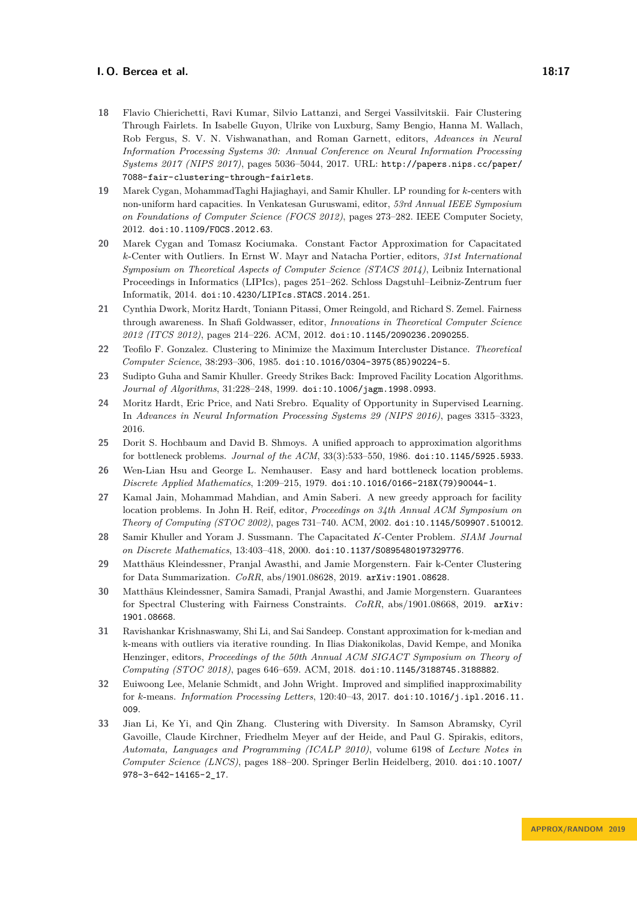- <span id="page-16-0"></span>**18** Flavio Chierichetti, Ravi Kumar, Silvio Lattanzi, and Sergei Vassilvitskii. Fair Clustering Through Fairlets. In Isabelle Guyon, Ulrike von Luxburg, Samy Bengio, Hanna M. Wallach, Rob Fergus, S. V. N. Vishwanathan, and Roman Garnett, editors, *Advances in Neural Information Processing Systems 30: Annual Conference on Neural Information Processing Systems 2017 (NIPS 2017)*, pages 5036–5044, 2017. URL: [http://papers.nips.cc/paper/](http://papers.nips.cc/paper/7088-fair-clustering-through-fairlets) [7088-fair-clustering-through-fairlets](http://papers.nips.cc/paper/7088-fair-clustering-through-fairlets).
- <span id="page-16-9"></span>**19** Marek Cygan, MohammadTaghi Hajiaghayi, and Samir Khuller. LP rounding for *k*-centers with non-uniform hard capacities. In Venkatesan Guruswami, editor, *53rd Annual IEEE Symposium on Foundations of Computer Science (FOCS 2012)*, pages 273–282. IEEE Computer Society, 2012. [doi:10.1109/FOCS.2012.63](https://doi.org/10.1109/FOCS.2012.63).
- <span id="page-16-11"></span>**20** Marek Cygan and Tomasz Kociumaka. Constant Factor Approximation for Capacitated *k*-Center with Outliers. In Ernst W. Mayr and Natacha Portier, editors, *31st International Symposium on Theoretical Aspects of Computer Science (STACS 2014)*, Leibniz International Proceedings in Informatics (LIPIcs), pages 251–262. Schloss Dagstuhl–Leibniz-Zentrum fuer Informatik, 2014. [doi:10.4230/LIPIcs.STACS.2014.251](https://doi.org/10.4230/LIPIcs.STACS.2014.251).
- <span id="page-16-2"></span>**21** Cynthia Dwork, Moritz Hardt, Toniann Pitassi, Omer Reingold, and Richard S. Zemel. Fairness through awareness. In Shafi Goldwasser, editor, *Innovations in Theoretical Computer Science 2012 (ITCS 2012)*, pages 214–226. ACM, 2012. [doi:10.1145/2090236.2090255](https://doi.org/10.1145/2090236.2090255).
- <span id="page-16-3"></span>**22** Teofilo F. Gonzalez. Clustering to Minimize the Maximum Intercluster Distance. *Theoretical Computer Science*, 38:293–306, 1985. [doi:10.1016/0304-3975\(85\)90224-5](https://doi.org/10.1016/0304-3975(85)90224-5).
- <span id="page-16-6"></span>**23** Sudipto Guha and Samir Khuller. Greedy Strikes Back: Improved Facility Location Algorithms. *Journal of Algorithms*, 31:228–248, 1999. [doi:10.1006/jagm.1998.0993](https://doi.org/10.1006/jagm.1998.0993).
- <span id="page-16-1"></span>**24** Moritz Hardt, Eric Price, and Nati Srebro. Equality of Opportunity in Supervised Learning. In *Advances in Neural Information Processing Systems 29 (NIPS 2016)*, pages 3315–3323, 2016.
- <span id="page-16-4"></span>**25** Dorit S. Hochbaum and David B. Shmoys. A unified approach to approximation algorithms for bottleneck problems. *Journal of the ACM*, 33(3):533–550, 1986. [doi:10.1145/5925.5933](https://doi.org/10.1145/5925.5933).
- <span id="page-16-5"></span>**26** Wen-Lian Hsu and George L. Nemhauser. Easy and hard bottleneck location problems. *Discrete Applied Mathematics*, 1:209–215, 1979. [doi:10.1016/0166-218X\(79\)90044-1](https://doi.org/10.1016/0166-218X(79)90044-1).
- <span id="page-16-7"></span>**27** Kamal Jain, Mohammad Mahdian, and Amin Saberi. A new greedy approach for facility location problems. In John H. Reif, editor, *Proceedings on 34th Annual ACM Symposium on Theory of Computing (STOC 2002)*, pages 731–740. ACM, 2002. [doi:10.1145/509907.510012](https://doi.org/10.1145/509907.510012).
- <span id="page-16-10"></span>**28** Samir Khuller and Yoram J. Sussmann. The Capacitated *K*-Center Problem. *SIAM Journal on Discrete Mathematics*, 13:403–418, 2000. [doi:10.1137/S0895480197329776](https://doi.org/10.1137/S0895480197329776).
- <span id="page-16-15"></span>**29** Matthäus Kleindessner, Pranjal Awasthi, and Jamie Morgenstern. Fair k-Center Clustering for Data Summarization. *CoRR*, abs/1901.08628, 2019. [arXiv:1901.08628](http://arxiv.org/abs/1901.08628).
- <span id="page-16-14"></span>**30** Matthäus Kleindessner, Samira Samadi, Pranjal Awasthi, and Jamie Morgenstern. Guarantees for Spectral Clustering with Fairness Constraints. *CoRR*, abs/1901.08668, 2019. [arXiv:](http://arxiv.org/abs/1901.08668) [1901.08668](http://arxiv.org/abs/1901.08668).
- <span id="page-16-12"></span>**31** Ravishankar Krishnaswamy, Shi Li, and Sai Sandeep. Constant approximation for k-median and k-means with outliers via iterative rounding. In Ilias Diakonikolas, David Kempe, and Monika Henzinger, editors, *Proceedings of the 50th Annual ACM SIGACT Symposium on Theory of Computing (STOC 2018)*, pages 646–659. ACM, 2018. [doi:10.1145/3188745.3188882](https://doi.org/10.1145/3188745.3188882).
- <span id="page-16-8"></span>**32** Euiwoong Lee, Melanie Schmidt, and John Wright. Improved and simplified inapproximability for *k*-means. *Information Processing Letters*, 120:40–43, 2017. [doi:10.1016/j.ipl.2016.11.](https://doi.org/10.1016/j.ipl.2016.11.009) [009](https://doi.org/10.1016/j.ipl.2016.11.009).
- <span id="page-16-13"></span>**33** Jian Li, Ke Yi, and Qin Zhang. Clustering with Diversity. In Samson Abramsky, Cyril Gavoille, Claude Kirchner, Friedhelm Meyer auf der Heide, and Paul G. Spirakis, editors, *Automata, Languages and Programming (ICALP 2010)*, volume 6198 of *Lecture Notes in Computer Science (LNCS)*, pages 188–200. Springer Berlin Heidelberg, 2010. [doi:10.1007/](https://doi.org/10.1007/978-3-642-14165-2_17) [978-3-642-14165-2\\_17](https://doi.org/10.1007/978-3-642-14165-2_17).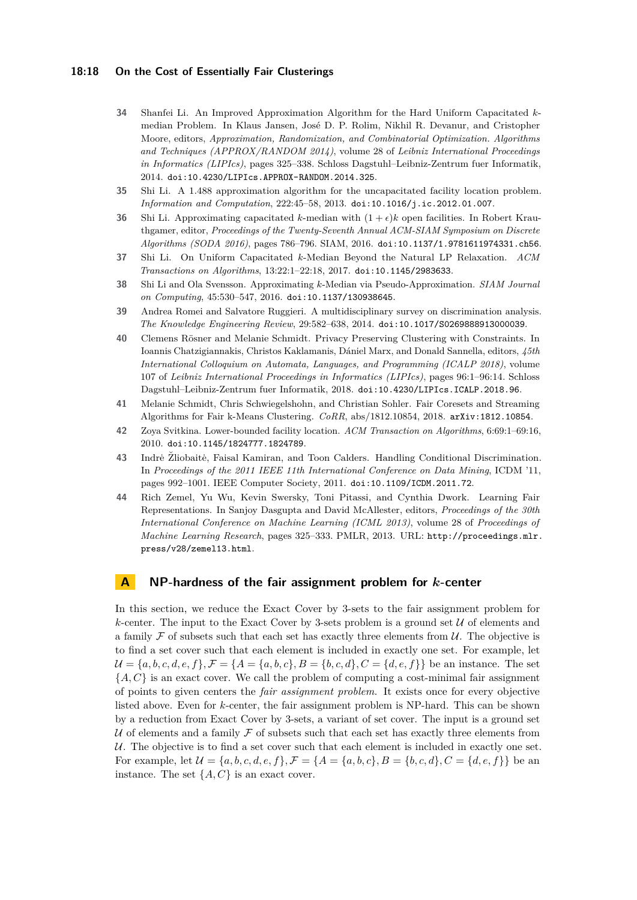#### **18:18 On the Cost of Essentially Fair Clusterings**

- <span id="page-17-7"></span>**34** Shanfei Li. An Improved Approximation Algorithm for the Hard Uniform Capacitated *k*median Problem. In Klaus Jansen, José D. P. Rolim, Nikhil R. Devanur, and Cristopher Moore, editors, *Approximation, Randomization, and Combinatorial Optimization. Algorithms and Techniques (APPROX/RANDOM 2014)*, volume 28 of *Leibniz International Proceedings in Informatics (LIPIcs)*, pages 325–338. Schloss Dagstuhl–Leibniz-Zentrum fuer Informatik, 2014. [doi:10.4230/LIPIcs.APPROX-RANDOM.2014.325](https://doi.org/10.4230/LIPIcs.APPROX-RANDOM.2014.325).
- <span id="page-17-4"></span>**35** Shi Li. A 1.488 approximation algorithm for the uncapacitated facility location problem. *Information and Computation*, 222:45–58, 2013. [doi:10.1016/j.ic.2012.01.007](https://doi.org/10.1016/j.ic.2012.01.007).
- <span id="page-17-8"></span>**36** Shi Li. Approximating capacitated *k*-median with  $(1 + \epsilon)k$  open facilities. In Robert Krauthgamer, editor, *Proceedings of the Twenty-Seventh Annual ACM-SIAM Symposium on Discrete Algorithms (SODA 2016)*, pages 786–796. SIAM, 2016. [doi:10.1137/1.9781611974331.ch56](https://doi.org/10.1137/1.9781611974331.ch56).
- <span id="page-17-9"></span>**37** Shi Li. On Uniform Capacitated *k*-Median Beyond the Natural LP Relaxation. *ACM Transactions on Algorithms*, 13:22:1–22:18, 2017. [doi:10.1145/2983633](https://doi.org/10.1145/2983633).
- <span id="page-17-5"></span>**38** Shi Li and Ola Svensson. Approximating *k*-Median via Pseudo-Approximation. *SIAM Journal on Computing*, 45:530–547, 2016. [doi:10.1137/130938645](https://doi.org/10.1137/130938645).
- <span id="page-17-1"></span>**39** Andrea Romei and Salvatore Ruggieri. A multidisciplinary survey on discrimination analysis. *The Knowledge Engineering Review*, 29:582–638, 2014. [doi:10.1017/S0269888913000039](https://doi.org/10.1017/S0269888913000039).
- <span id="page-17-0"></span>**40** Clemens Rösner and Melanie Schmidt. Privacy Preserving Clustering with Constraints. In Ioannis Chatzigiannakis, Christos Kaklamanis, Dániel Marx, and Donald Sannella, editors, *45th International Colloquium on Automata, Languages, and Programming (ICALP 2018)*, volume 107 of *Leibniz International Proceedings in Informatics (LIPIcs)*, pages 96:1–96:14. Schloss Dagstuhl–Leibniz-Zentrum fuer Informatik, 2018. [doi:10.4230/LIPIcs.ICALP.2018.96](https://doi.org/10.4230/LIPIcs.ICALP.2018.96).
- <span id="page-17-10"></span>**41** Melanie Schmidt, Chris Schwiegelshohn, and Christian Sohler. Fair Coresets and Streaming Algorithms for Fair k-Means Clustering. *CoRR*, abs/1812.10854, 2018. [arXiv:1812.10854](http://arxiv.org/abs/1812.10854).
- <span id="page-17-6"></span>**42** Zoya Svitkina. Lower-bounded facility location. *ACM Transaction on Algorithms*, 6:69:1–69:16, 2010. [doi:10.1145/1824777.1824789](https://doi.org/10.1145/1824777.1824789).
- <span id="page-17-2"></span>**43** Indrė Žliobaitė, Faisal Kamiran, and Toon Calders. Handling Conditional Discrimination. In *Proceedings of the 2011 IEEE 11th International Conference on Data Mining*, ICDM '11, pages 992–1001. IEEE Computer Society, 2011. [doi:10.1109/ICDM.2011.72](https://doi.org/10.1109/ICDM.2011.72).
- <span id="page-17-3"></span>**44** Rich Zemel, Yu Wu, Kevin Swersky, Toni Pitassi, and Cynthia Dwork. Learning Fair Representations. In Sanjoy Dasgupta and David McAllester, editors, *Proceedings of the 30th International Conference on Machine Learning (ICML 2013)*, volume 28 of *Proceedings of Machine Learning Research*, pages 325–333. PMLR, 2013. URL: [http://proceedings.mlr.](http://proceedings.mlr.press/v28/zemel13.html) [press/v28/zemel13.html](http://proceedings.mlr.press/v28/zemel13.html).

# <span id="page-17-11"></span>**A NP-hardness of the fair assignment problem for** *k***-center**

In this section, we reduce the Exact Cover by 3-sets to the fair assignment problem for  $k$ -center. The input to the Exact Cover by 3-sets problem is a ground set  $U$  of elements and a family  $\mathcal F$  of subsets such that each set has exactly three elements from  $\mathcal U$ . The objective is to find a set cover such that each element is included in exactly one set. For example, let  $\mathcal{U} = \{a, b, c, d, e, f\}, \mathcal{F} = \{A = \{a, b, c\}, B = \{b, c, d\}, C = \{d, e, f\}\}\$ be an instance. The set  ${A, C}$  is an exact cover. We call the problem of computing a cost-minimal fair assignment of points to given centers the *fair assignment problem*. It exists once for every objective listed above. Even for *k*-center, the fair assignment problem is NP-hard. This can be shown by a reduction from Exact Cover by 3-sets, a variant of set cover. The input is a ground set U of elements and a family  $\mathcal F$  of subsets such that each set has exactly three elements from U. The objective is to find a set cover such that each element is included in exactly one set. For example, let  $\mathcal{U} = \{a, b, c, d, e, f\}$ ,  $\mathcal{F} = \{A = \{a, b, c\}$ ,  $B = \{b, c, d\}$ ,  $C = \{d, e, f\}$  be an instance. The set  $\{A, C\}$  is an exact cover.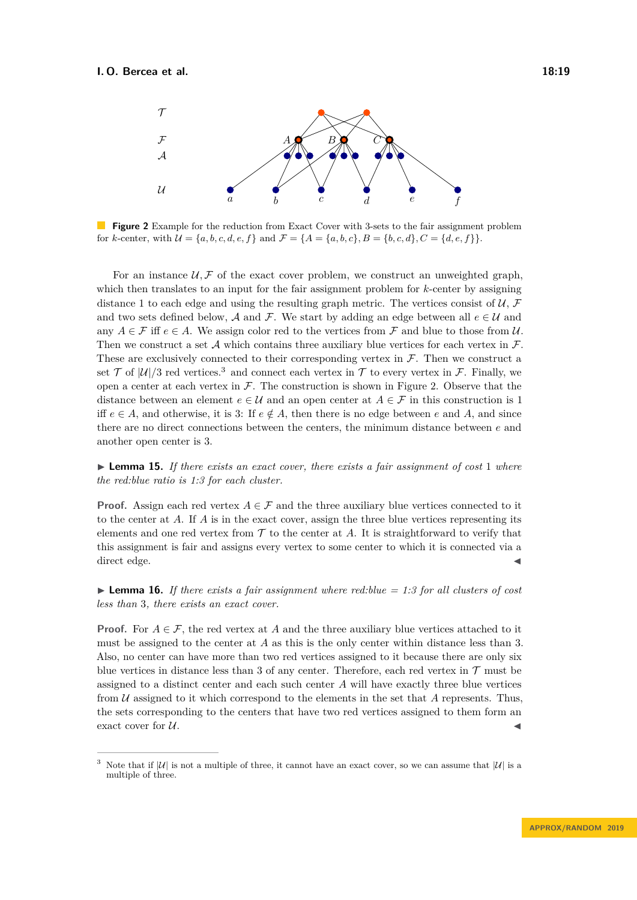<span id="page-18-1"></span>

**Figure 2** Example for the reduction from Exact Cover with 3-sets to the fair assignment problem for *k*-center, with  $\mathcal{U} = \{a, b, c, d, e, f\}$  and  $\mathcal{F} = \{A = \{a, b, c\}, B = \{b, c, d\}, C = \{d, e, f\}\}.$ 

For an instance  $U, \mathcal{F}$  of the exact cover problem, we construct an unweighted graph, which then translates to an input for the fair assignment problem for *k*-center by assigning distance 1 to each edge and using the resulting graph metric. The vertices consist of  $\mathcal{U}, \mathcal{F}$ and two sets defined below, A and F. We start by adding an edge between all  $e \in \mathcal{U}$  and any  $A \in \mathcal{F}$  iff  $e \in A$ . We assign color red to the vertices from  $\mathcal{F}$  and blue to those from  $\mathcal{U}$ . Then we construct a set  $A$  which contains three auxiliary blue vertices for each vertex in  $F$ . These are exclusively connected to their corresponding vertex in  $\mathcal F$ . Then we construct a set  $\mathcal T$  of  $|\mathcal U|/3$  $|\mathcal U|/3$  red vertices.<sup>3</sup> and connect each vertex in  $\mathcal T$  to every vertex in  $\mathcal F$ . Finally, we open a center at each vertex in  $\mathcal F$ . The construction is shown in Figure [2.](#page-18-1) Observe that the distance between an element  $e \in \mathcal{U}$  and an open center at  $A \in \mathcal{F}$  in this construction is 1 iff  $e \in A$ , and otherwise, it is 3: If  $e \notin A$ , then there is no edge between *e* and *A*, and since there are no direct connections between the centers, the minimum distance between *e* and another open center is 3.

► **Lemma 15.** If there exists an exact cover, there exists a fair assignment of cost 1 where *the red:blue ratio is 1:3 for each cluster.*

**Proof.** Assign each red vertex  $A \in \mathcal{F}$  and the three auxiliary blue vertices connected to it to the center at *A*. If *A* is in the exact cover, assign the three blue vertices representing its elements and one red vertex from  $\mathcal T$  to the center at  $A$ . It is straightforward to verify that this assignment is fair and assigns every vertex to some center to which it is connected via a direct edge.  $\blacksquare$ 

**Lemma 16.** If there exists a fair assignment where red: blue  $= 1:3$  for all clusters of cost *less than* 3*, there exists an exact cover.*

**Proof.** For  $A \in \mathcal{F}$ , the red vertex at *A* and the three auxiliary blue vertices attached to it must be assigned to the center at *A* as this is the only center within distance less than 3. Also, no center can have more than two red vertices assigned to it because there are only six blue vertices in distance less than 3 of any center. Therefore, each red vertex in  $\mathcal T$  must be assigned to a distinct center and each such center *A* will have exactly three blue vertices from U assigned to it which correspond to the elements in the set that *A* represents. Thus, the sets corresponding to the centers that have two red vertices assigned to them form an exact cover for  $U$ .

<span id="page-18-0"></span>Note that if  $|U|$  is not a multiple of three, it cannot have an exact cover, so we can assume that  $|U|$  is a multiple of three.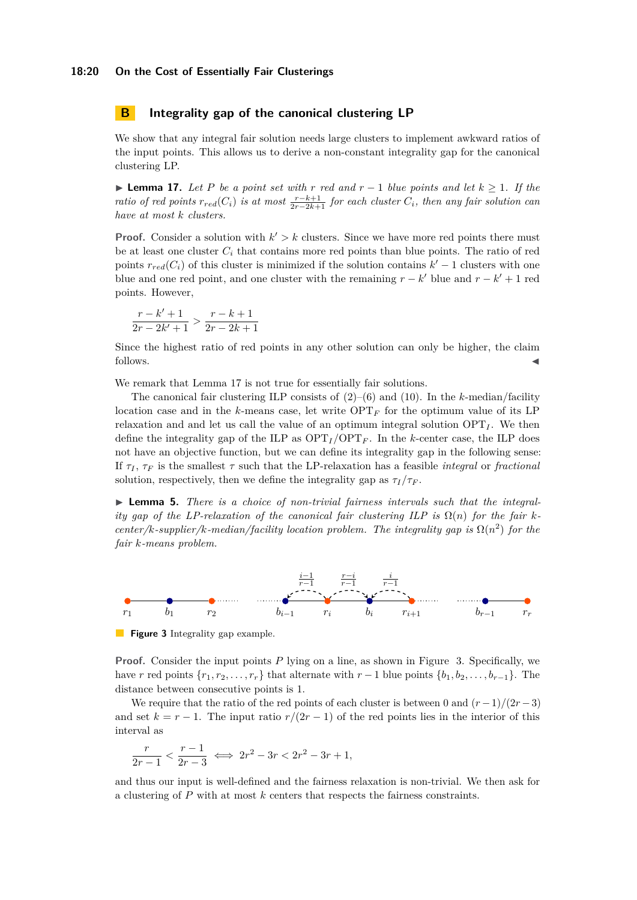## <span id="page-19-0"></span>**B Integrality gap of the canonical clustering LP**

We show that any integral fair solution needs large clusters to implement awkward ratios of the input points. This allows us to derive a non-constant integrality gap for the canonical clustering LP.

<span id="page-19-1"></span>**► Lemma 17.** Let P be a point set with r red and  $r-1$  blue points and let  $k \geq 1$ . If the *ratio of red points*  $r_{red}(C_i)$  *is at most*  $\frac{r-k+1}{2r-2k+1}$  *for each cluster*  $C_i$ *, then any fair solution can have at most k clusters.*

**Proof.** Consider a solution with  $k' > k$  clusters. Since we have more red points there must be at least one cluster  $C_i$  that contains more red points than blue points. The ratio of red points  $r_{red}(C_i)$  of this cluster is minimized if the solution contains  $k' - 1$  clusters with one blue and one red point, and one cluster with the remaining  $r - k'$  blue and  $r - k' + 1$  red points. However,

$$
\frac{r-k'+1}{2r-2k'+1} > \frac{r-k+1}{2r-2k+1}
$$

Since the highest ratio of red points in any other solution can only be higher, the claim follows.

We remark that Lemma [17](#page-19-1) is not true for essentially fair solutions.

The canonical fair clustering ILP consists of [\(2\)](#page-6-1)–[\(6\)](#page-6-2) and [\(10\)](#page-6-8). In the *k*-median/facility location case and in the  $k$ -means case, let write  $\text{OPT}_F$  for the optimum value of its LP relaxation and and let us call the value of an optimum integral solution  $OPT_I$ . We then define the integrality gap of the ILP as  $\text{OPT}_I / \text{OPT}_F$ . In the *k*-center case, the ILP does not have an objective function, but we can define its integrality gap in the following sense: If  $\tau_I$ ,  $\tau_F$  is the smallest  $\tau$  such that the LP-relaxation has a feasible *integral* or *fractional* solution, respectively, then we define the integrality gap as  $\tau_I/\tau_F$ .

▶ **Lemma 5.** *There is a choice of non-trivial fairness intervals such that the integrality gap of the LP-relaxation of the canonical fair clustering ILP is*  $\Omega(n)$  *for the fair kcenter/k-supplier/k-median/facility location problem. The integrality gap is*  $\Omega(n^2)$  *for the fair k-means problem.*

<span id="page-19-2"></span>

**Figure 3** Integrality gap example.

**Proof.** Consider the input points P lying on a line, as shown in Figure [3.](#page-19-2) Specifically, we have *r* red points  $\{r_1, r_2, \ldots, r_r\}$  that alternate with  $r-1$  blue points  $\{b_1, b_2, \ldots, b_{r-1}\}$ . The distance between consecutive points is 1.

We require that the ratio of the red points of each cluster is between 0 and  $(r-1)/(2r-3)$ and set  $k = r - 1$ . The input ratio  $r/(2r - 1)$  of the red points lies in the interior of this interval as

$$
\frac{r}{2r-1} < \frac{r-1}{2r-3} \iff 2r^2 - 3r < 2r^2 - 3r + 1,
$$

and thus our input is well-defined and the fairness relaxation is non-trivial. We then ask for a clustering of *P* with at most *k* centers that respects the fairness constraints.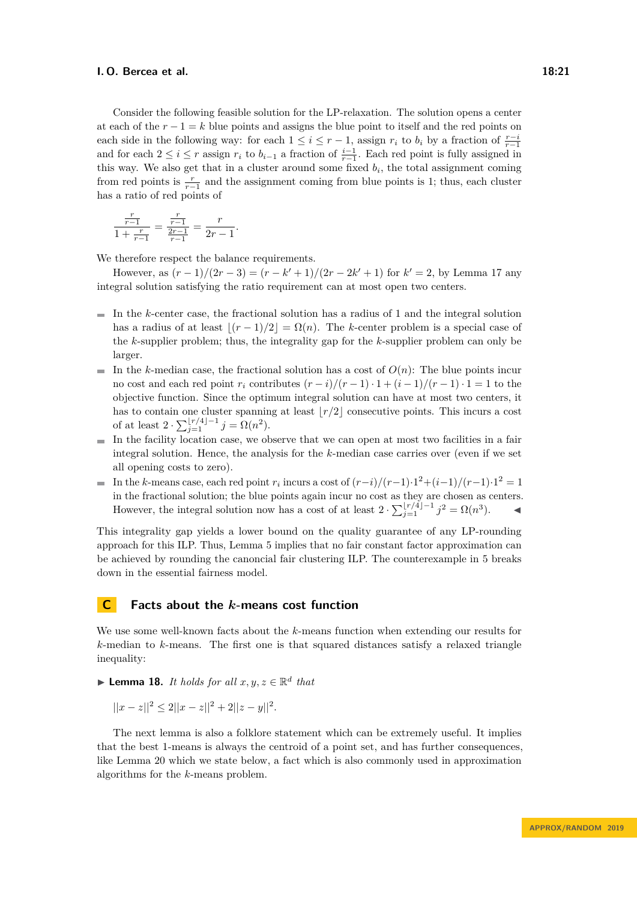Consider the following feasible solution for the LP-relaxation. The solution opens a center at each of the  $r - 1 = k$  blue points and assigns the blue point to itself and the red points on each side in the following way: for each  $1 \leq i \leq r-1$ , assign  $r_i$  to  $b_i$  by a fraction of  $\frac{r-i}{r-1}$ and for each  $2 \leq i \leq r$  assign  $r_i$  to  $b_{i-1}$  a fraction of  $\frac{i-1}{r-1}$ . Each red point is fully assigned in this way. We also get that in a cluster around some fixed  $b_i$ , the total assignment coming from red points is  $\frac{r}{r-1}$  and the assignment coming from blue points is 1; thus, each cluster has a ratio of red points of

$$
\frac{\frac{r}{r-1}}{1+\frac{r}{r-1}} = \frac{\frac{r}{r-1}}{\frac{2r-1}{r-1}} = \frac{r}{2r-1}.
$$

We therefore respect the balance requirements.

However, as  $(r-1)/(2r-3) = (r - k' + 1)/(2r - 2k' + 1)$  for  $k' = 2$ , by Lemma [17](#page-19-1) any integral solution satisfying the ratio requirement can at most open two centers.

- $\blacksquare$  In the *k*-center case, the fractional solution has a radius of 1 and the integral solution has a radius of at least  $|(r - 1)/2| = \Omega(n)$ . The *k*-center problem is a special case of the *k*-supplier problem; thus, the integrality gap for the *k*-supplier problem can only be larger.
- In the *k*-median case, the fractional solution has a cost of  $O(n)$ : The blue points incur no cost and each red point  $r_i$  contributes  $(r-i)/(r-1) \cdot 1 + (i-1)/(r-1) \cdot 1 = 1$  to the objective function. Since the optimum integral solution can have at most two centers, it has to contain one cluster spanning at least  $\lfloor r/2 \rfloor$  consecutive points. This incurs a cost of at least  $2 \cdot \sum_{j=1}^{\lfloor r/4 \rfloor -1} j = \Omega(n^2)$ .
- $\blacksquare$  In the facility location case, we observe that we can open at most two facilities in a fair integral solution. Hence, the analysis for the *k*-median case carries over (even if we set all opening costs to zero).
- In the *k*-means case, each red point  $r_i$  incurs a cost of  $(r-i)/(r-1)\cdot 1^2 + (i-1)/(r-1)\cdot 1^2 = 1$ in the fractional solution; the blue points again incur no cost as they are chosen as centers. However, the integral solution now has a cost of at least  $2 \cdot \sum_{j=1}^{\lfloor r/4 \rfloor - 1} j^2 = \Omega(n^3)$ .

This integrality gap yields a lower bound on the quality guarantee of any LP-rounding approach for this ILP. Thus, Lemma [5](#page-6-10) implies that no fair constant factor approximation can be achieved by rounding the canoncial fair clustering ILP. The counterexample in [5](#page-6-10) breaks down in the essential fairness model.

## **C Facts about the** *k***-means cost function**

We use some well-known facts about the *k*-means function when extending our results for *k*-median to *k*-means. The first one is that squared distances satisfy a relaxed triangle inequality:

 $\blacktriangleright$  **Lemma 18.** *It holds for all*  $x, y, z \in \mathbb{R}^d$  *that* 

 $||x - z||^2 \leq 2||x - z||^2 + 2||z - y||^2.$ 

<span id="page-20-0"></span>The next lemma is also a folklore statement which can be extremely useful. It implies that the best 1-means is always the centroid of a point set, and has further consequences, like Lemma [20](#page-21-1) which we state below, a fact which is also commonly used in approximation algorithms for the *k*-means problem.